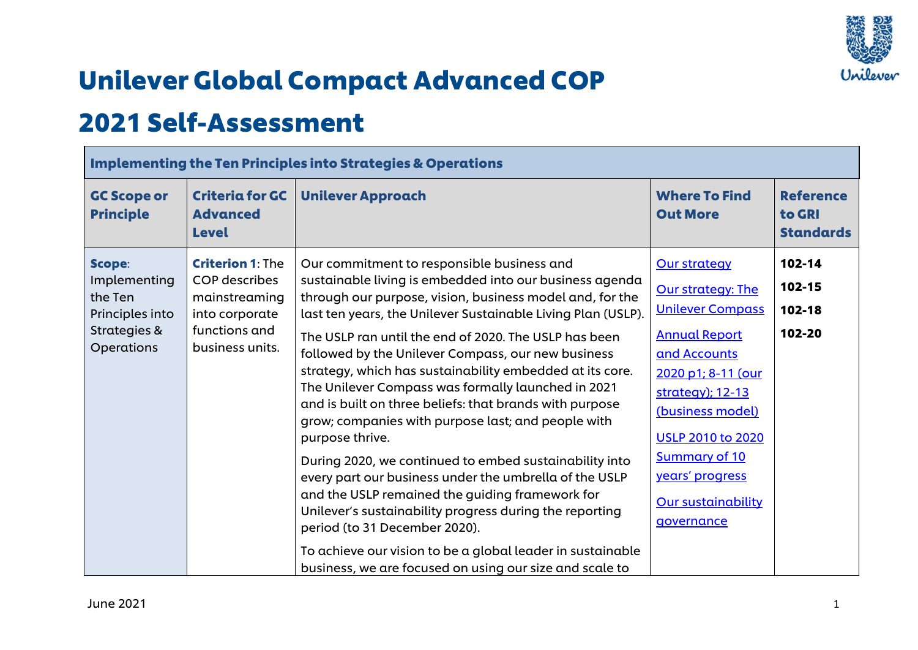

## Unilever Global Compact Advanced COP

## 2021 Self-Assessment

|                                                                                    | <b>Implementing the Ten Principles into Strategies &amp; Operations</b>                                                |                                                                                                                                                                                                                                                                                                                                                                                                                                                                                                                                                                                                                                                                                                                                                                                                                                                                                                                                                                                                    |                                                                                                                                                                                                                                                                                             |                                                |  |
|------------------------------------------------------------------------------------|------------------------------------------------------------------------------------------------------------------------|----------------------------------------------------------------------------------------------------------------------------------------------------------------------------------------------------------------------------------------------------------------------------------------------------------------------------------------------------------------------------------------------------------------------------------------------------------------------------------------------------------------------------------------------------------------------------------------------------------------------------------------------------------------------------------------------------------------------------------------------------------------------------------------------------------------------------------------------------------------------------------------------------------------------------------------------------------------------------------------------------|---------------------------------------------------------------------------------------------------------------------------------------------------------------------------------------------------------------------------------------------------------------------------------------------|------------------------------------------------|--|
| <b>GC Scope or</b><br><b>Principle</b>                                             | <b>Criteria for GC</b><br><b>Advanced</b><br><b>Level</b>                                                              | <b>Unilever Approach</b>                                                                                                                                                                                                                                                                                                                                                                                                                                                                                                                                                                                                                                                                                                                                                                                                                                                                                                                                                                           | <b>Where To Find</b><br><b>Out More</b>                                                                                                                                                                                                                                                     | <b>Reference</b><br>to GRI<br><b>Standards</b> |  |
| Scope:<br>Implementing<br>the Ten<br>Principles into<br>Strategies &<br>Operations | <b>Criterion 1: The</b><br><b>COP</b> describes<br>mainstreaming<br>into corporate<br>functions and<br>business units. | Our commitment to responsible business and<br>sustainable living is embedded into our business agenda<br>through our purpose, vision, business model and, for the<br>last ten years, the Unilever Sustainable Living Plan (USLP).<br>The USLP ran until the end of 2020. The USLP has been<br>followed by the Unilever Compass, our new business<br>strategy, which has sustainability embedded at its core.<br>The Unilever Compass was formally launched in 2021<br>and is built on three beliefs: that brands with purpose<br>grow; companies with purpose last; and people with<br>purpose thrive.<br>During 2020, we continued to embed sustainability into<br>every part our business under the umbrella of the USLP<br>and the USLP remained the guiding framework for<br>Unilever's sustainability progress during the reporting<br>period (to 31 December 2020).<br>To achieve our vision to be a global leader in sustainable<br>business, we are focused on using our size and scale to | <b>Our strategy</b><br>Our strategy: The<br><b>Unilever Compass</b><br><b>Annual Report</b><br>and Accounts<br>2020 p1; 8-11 (our<br>strategy); 12-13<br>(business model)<br><b>USLP 2010 to 2020</b><br><b>Summary of 10</b><br>years' progress<br><b>Our sustainability</b><br>governance | 102-14<br>102-15<br>102-18<br>102-20           |  |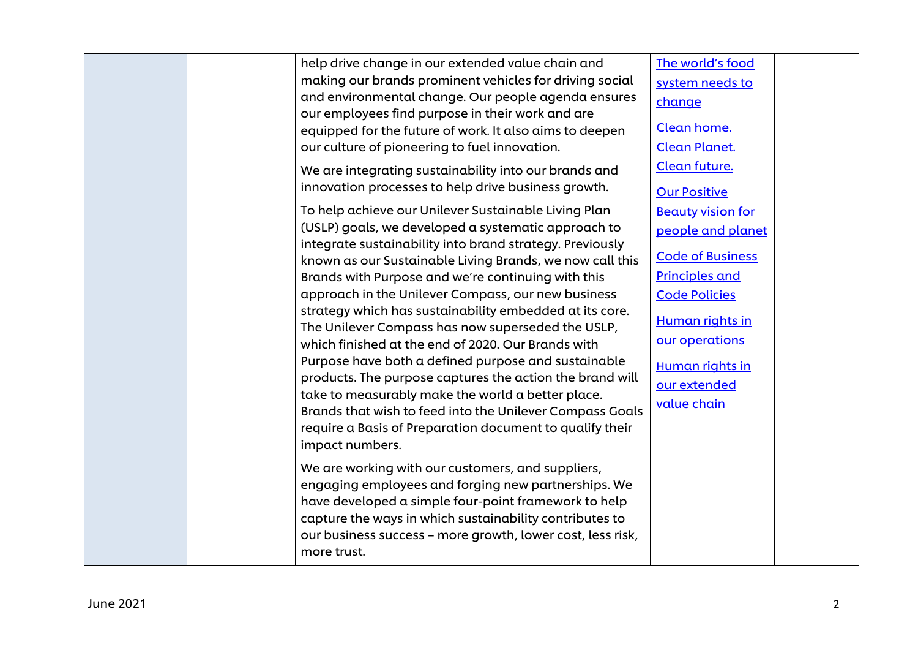|  | help drive change in our extended value chain and                           | The world's food         |  |
|--|-----------------------------------------------------------------------------|--------------------------|--|
|  | making our brands prominent vehicles for driving social                     | system needs to          |  |
|  | and environmental change. Our people agenda ensures                         | change                   |  |
|  | our employees find purpose in their work and are                            |                          |  |
|  | equipped for the future of work. It also aims to deepen                     | Clean home.              |  |
|  | our culture of pioneering to fuel innovation.                               | <b>Clean Planet.</b>     |  |
|  | We are integrating sustainability into our brands and                       | Clean future.            |  |
|  | innovation processes to help drive business growth.                         | <b>Our Positive</b>      |  |
|  | To help achieve our Unilever Sustainable Living Plan                        | <b>Beauty vision for</b> |  |
|  | (USLP) goals, we developed a systematic approach to                         | people and planet        |  |
|  | integrate sustainability into brand strategy. Previously                    |                          |  |
|  | known as our Sustainable Living Brands, we now call this                    | <b>Code of Business</b>  |  |
|  | Brands with Purpose and we're continuing with this                          | <b>Principles and</b>    |  |
|  | approach in the Unilever Compass, our new business                          | <b>Code Policies</b>     |  |
|  | strategy which has sustainability embedded at its core.                     | Human rights in          |  |
|  | The Unilever Compass has now superseded the USLP,                           |                          |  |
|  | which finished at the end of 2020. Our Brands with                          | our operations           |  |
|  | Purpose have both a defined purpose and sustainable                         | Human rights in          |  |
|  | products. The purpose captures the action the brand will                    | our extended             |  |
|  | take to measurably make the world a better place.                           | value chain              |  |
|  | Brands that wish to feed into the Unilever Compass Goals                    |                          |  |
|  | require a Basis of Preparation document to qualify their<br>impact numbers. |                          |  |
|  |                                                                             |                          |  |
|  | We are working with our customers, and suppliers,                           |                          |  |
|  | engaging employees and forging new partnerships. We                         |                          |  |
|  | have developed a simple four-point framework to help                        |                          |  |
|  | capture the ways in which sustainability contributes to                     |                          |  |
|  | our business success - more growth, lower cost, less risk,                  |                          |  |
|  | more trust.                                                                 |                          |  |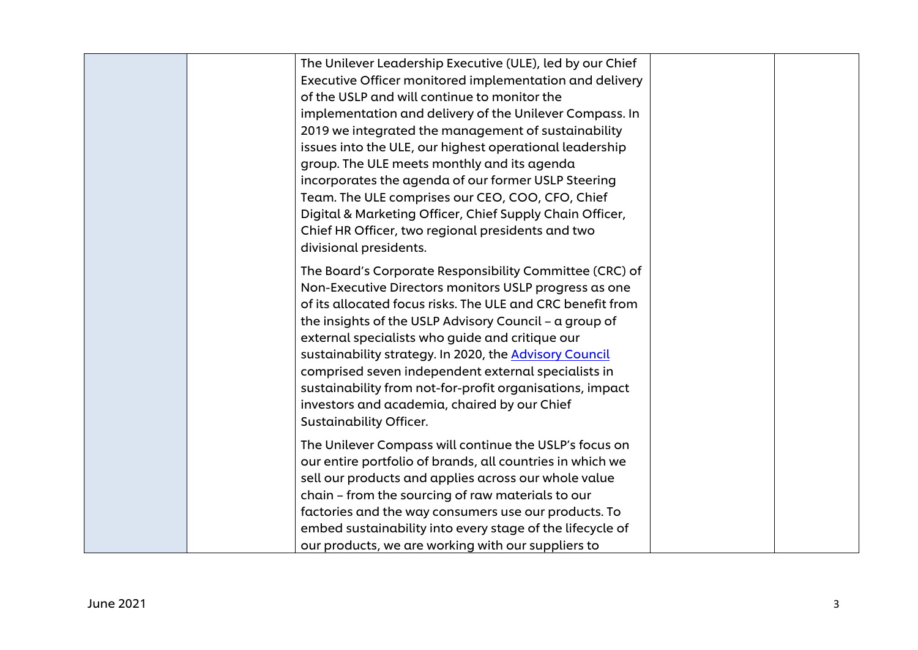| The Unilever Leadership Executive (ULE), led by our Chief<br>Executive Officer monitored implementation and delivery<br>of the USLP and will continue to monitor the<br>implementation and delivery of the Unilever Compass. In<br>2019 we integrated the management of sustainability<br>issues into the ULE, our highest operational leadership<br>group. The ULE meets monthly and its agenda<br>incorporates the agenda of our former USLP Steering<br>Team. The ULE comprises our CEO, COO, CFO, Chief<br>Digital & Marketing Officer, Chief Supply Chain Officer,<br>Chief HR Officer, two regional presidents and two<br>divisional presidents. |  |
|--------------------------------------------------------------------------------------------------------------------------------------------------------------------------------------------------------------------------------------------------------------------------------------------------------------------------------------------------------------------------------------------------------------------------------------------------------------------------------------------------------------------------------------------------------------------------------------------------------------------------------------------------------|--|
| The Board's Corporate Responsibility Committee (CRC) of<br>Non-Executive Directors monitors USLP progress as one<br>of its allocated focus risks. The ULE and CRC benefit from<br>the insights of the USLP Advisory Council - a group of<br>external specialists who guide and critique our<br>sustainability strategy. In 2020, the Advisory Council<br>comprised seven independent external specialists in<br>sustainability from not-for-profit organisations, impact<br>investors and academia, chaired by our Chief<br><b>Sustainability Officer.</b>                                                                                             |  |
| The Unilever Compass will continue the USLP's focus on<br>our entire portfolio of brands, all countries in which we<br>sell our products and applies across our whole value<br>chain - from the sourcing of raw materials to our<br>factories and the way consumers use our products. To<br>embed sustainability into every stage of the lifecycle of<br>our products, we are working with our suppliers to                                                                                                                                                                                                                                            |  |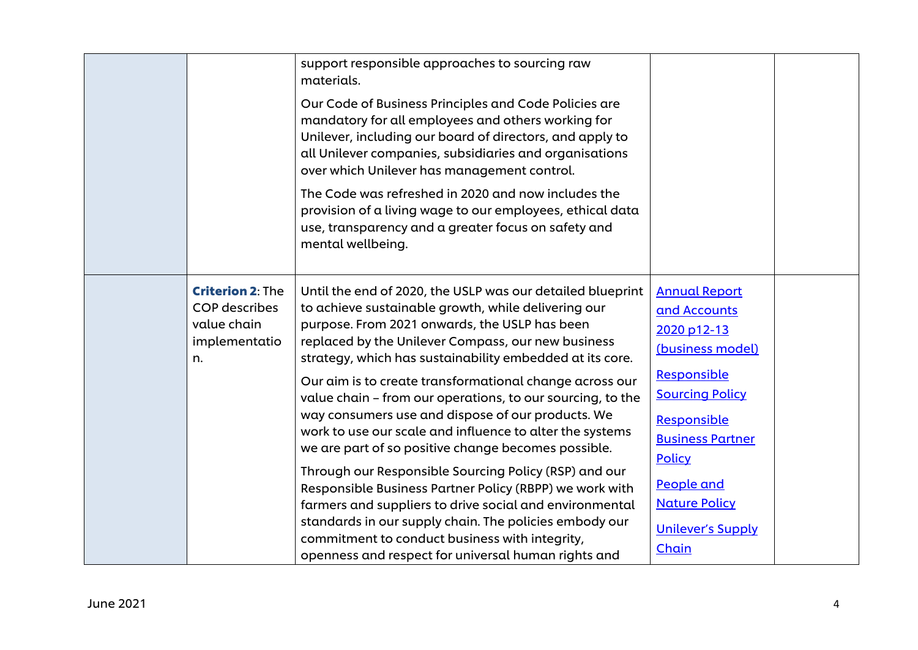|                                                                                       | support responsible approaches to sourcing raw<br>materials.<br>Our Code of Business Principles and Code Policies are<br>mandatory for all employees and others working for<br>Unilever, including our board of directors, and apply to<br>all Unilever companies, subsidiaries and organisations<br>over which Unilever has management control.<br>The Code was refreshed in 2020 and now includes the<br>provision of a living wage to our employees, ethical data<br>use, transparency and a greater focus on safety and<br>mental wellbeing. |                                                                                                                                 |  |
|---------------------------------------------------------------------------------------|--------------------------------------------------------------------------------------------------------------------------------------------------------------------------------------------------------------------------------------------------------------------------------------------------------------------------------------------------------------------------------------------------------------------------------------------------------------------------------------------------------------------------------------------------|---------------------------------------------------------------------------------------------------------------------------------|--|
| <b>Criterion 2: The</b><br><b>COP</b> describes<br>value chain<br>implementatio<br>n. | Until the end of 2020, the USLP was our detailed blueprint<br>to achieve sustainable growth, while delivering our<br>purpose. From 2021 onwards, the USLP has been<br>replaced by the Unilever Compass, our new business<br>strategy, which has sustainability embedded at its core.<br>Our aim is to create transformational change across our<br>value chain - from our operations, to our sourcing, to the<br>way consumers use and dispose of our products. We<br>work to use our scale and influence to alter the systems                   | <b>Annual Report</b><br>and Accounts<br>2020 p12-13<br>(business model)<br>Responsible<br><b>Sourcing Policy</b><br>Responsible |  |
|                                                                                       | we are part of so positive change becomes possible.<br>Through our Responsible Sourcing Policy (RSP) and our<br>Responsible Business Partner Policy (RBPP) we work with<br>farmers and suppliers to drive social and environmental<br>standards in our supply chain. The policies embody our<br>commitment to conduct business with integrity,<br>openness and respect for universal human rights and                                                                                                                                            | <b>Business Partner</b><br>Policy<br>People and<br><b>Nature Policy</b><br><b>Unilever's Supply</b><br>Chain                    |  |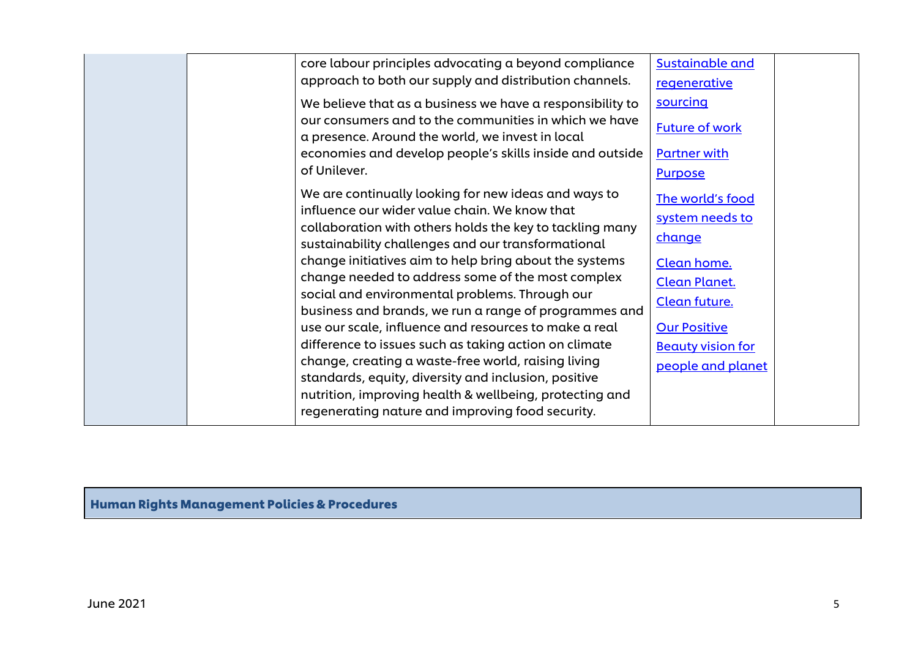|  | core labour principles advocating a beyond compliance                                                          | <b>Sustainable and</b>   |  |
|--|----------------------------------------------------------------------------------------------------------------|--------------------------|--|
|  | approach to both our supply and distribution channels.                                                         | regenerative             |  |
|  | We believe that as a business we have a responsibility to                                                      | sourcing                 |  |
|  | our consumers and to the communities in which we have                                                          | <b>Future of work</b>    |  |
|  | a presence. Around the world, we invest in local                                                               |                          |  |
|  | economies and develop people's skills inside and outside<br>of Unilever.                                       | <b>Partner with</b>      |  |
|  |                                                                                                                | <b>Purpose</b>           |  |
|  | We are continually looking for new ideas and ways to                                                           | The world's food         |  |
|  | influence our wider value chain. We know that                                                                  | system needs to          |  |
|  | collaboration with others holds the key to tackling many<br>sustainability challenges and our transformational | change                   |  |
|  | change initiatives aim to help bring about the systems                                                         | Clean home.              |  |
|  | change needed to address some of the most complex                                                              | <b>Clean Planet.</b>     |  |
|  | social and environmental problems. Through our                                                                 | Clean future.            |  |
|  | business and brands, we run a range of programmes and                                                          |                          |  |
|  | use our scale, influence and resources to make a real                                                          | <b>Our Positive</b>      |  |
|  | difference to issues such as taking action on climate<br>change, creating a waste-free world, raising living   | <b>Beauty vision for</b> |  |
|  | standards, equity, diversity and inclusion, positive                                                           | people and planet        |  |
|  | nutrition, improving health & wellbeing, protecting and                                                        |                          |  |
|  | regenerating nature and improving food security.                                                               |                          |  |
|  |                                                                                                                |                          |  |

Human Rights Management Policies & Procedures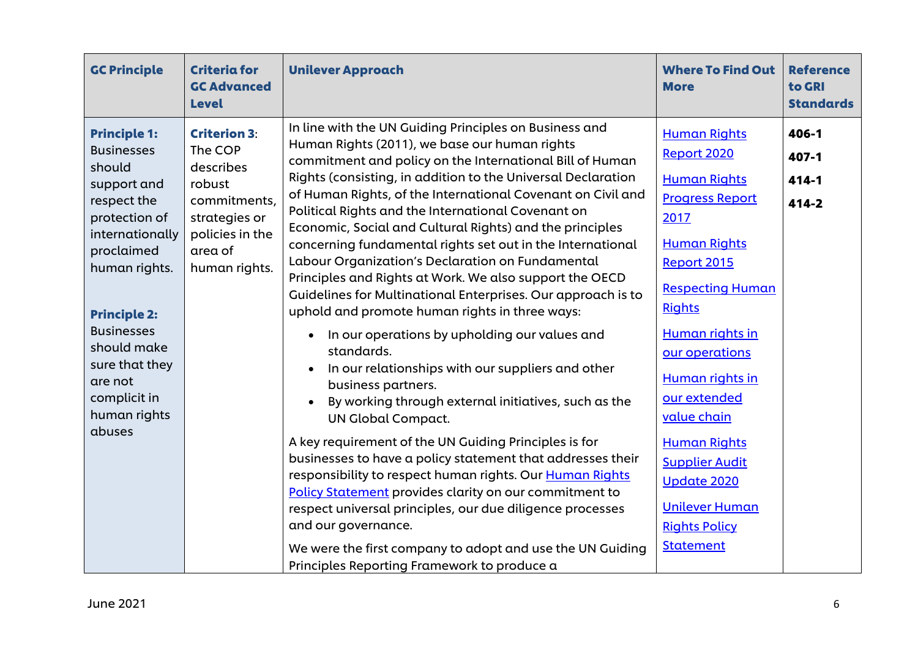| <b>GC Principle</b>                                                                                                                                                                                                                                                                   | <b>Criteria for</b><br><b>GC Advanced</b><br><b>Level</b>                                                                             | <b>Unilever Approach</b>                                                                                                                                                                                                                                                                                                                                                                                                                                                                                                                                                                                                                                                                                                                                                                                                                                                                                                                                                                                                                                                                                                                                                                                                                                                                                                                                                                                     | <b>Where To Find Out</b><br><b>More</b>                                                                                                                                                                                                                                                                                                                                                                         | <b>Reference</b><br>to GRI<br><b>Standards</b> |
|---------------------------------------------------------------------------------------------------------------------------------------------------------------------------------------------------------------------------------------------------------------------------------------|---------------------------------------------------------------------------------------------------------------------------------------|--------------------------------------------------------------------------------------------------------------------------------------------------------------------------------------------------------------------------------------------------------------------------------------------------------------------------------------------------------------------------------------------------------------------------------------------------------------------------------------------------------------------------------------------------------------------------------------------------------------------------------------------------------------------------------------------------------------------------------------------------------------------------------------------------------------------------------------------------------------------------------------------------------------------------------------------------------------------------------------------------------------------------------------------------------------------------------------------------------------------------------------------------------------------------------------------------------------------------------------------------------------------------------------------------------------------------------------------------------------------------------------------------------------|-----------------------------------------------------------------------------------------------------------------------------------------------------------------------------------------------------------------------------------------------------------------------------------------------------------------------------------------------------------------------------------------------------------------|------------------------------------------------|
| <b>Principle 1:</b><br><b>Businesses</b><br>should<br>support and<br>respect the<br>protection of<br>internationally<br>proclaimed<br>human rights.<br><b>Principle 2:</b><br><b>Businesses</b><br>should make<br>sure that they<br>are not<br>complicit in<br>human rights<br>abuses | <b>Criterion 3:</b><br>The COP<br>describes<br>robust<br>commitments,<br>strategies or<br>policies in the<br>area of<br>human rights. | In line with the UN Guiding Principles on Business and<br>Human Rights (2011), we base our human rights<br>commitment and policy on the International Bill of Human<br>Rights (consisting, in addition to the Universal Declaration<br>of Human Rights, of the International Covenant on Civil and<br>Political Rights and the International Covenant on<br>Economic, Social and Cultural Rights) and the principles<br>concerning fundamental rights set out in the International<br>Labour Organization's Declaration on Fundamental<br>Principles and Rights at Work. We also support the OECD<br>Guidelines for Multinational Enterprises. Our approach is to<br>uphold and promote human rights in three ways:<br>In our operations by upholding our values and<br>$\bullet$<br>standards.<br>In our relationships with our suppliers and other<br>business partners.<br>By working through external initiatives, such as the<br><b>UN Global Compact.</b><br>A key requirement of the UN Guiding Principles is for<br>businesses to have a policy statement that addresses their<br>responsibility to respect human rights. Our Human Rights<br>Policy Statement provides clarity on our commitment to<br>respect universal principles, our due diligence processes<br>and our governance.<br>We were the first company to adopt and use the UN Guiding<br>Principles Reporting Framework to produce a | <b>Human Rights</b><br>Report 2020<br><b>Human Rights</b><br><b>Progress Report</b><br>2017<br><b>Human Rights</b><br>Report 2015<br><b>Respecting Human</b><br><b>Rights</b><br>Human rights in<br>our operations<br>Human rights in<br>our extended<br>value chain<br><b>Human Rights</b><br><b>Supplier Audit</b><br><b>Update 2020</b><br><b>Unilever Human</b><br><b>Rights Policy</b><br><b>Statement</b> | 406-1<br>407-1<br>$414 - 1$<br>414-2           |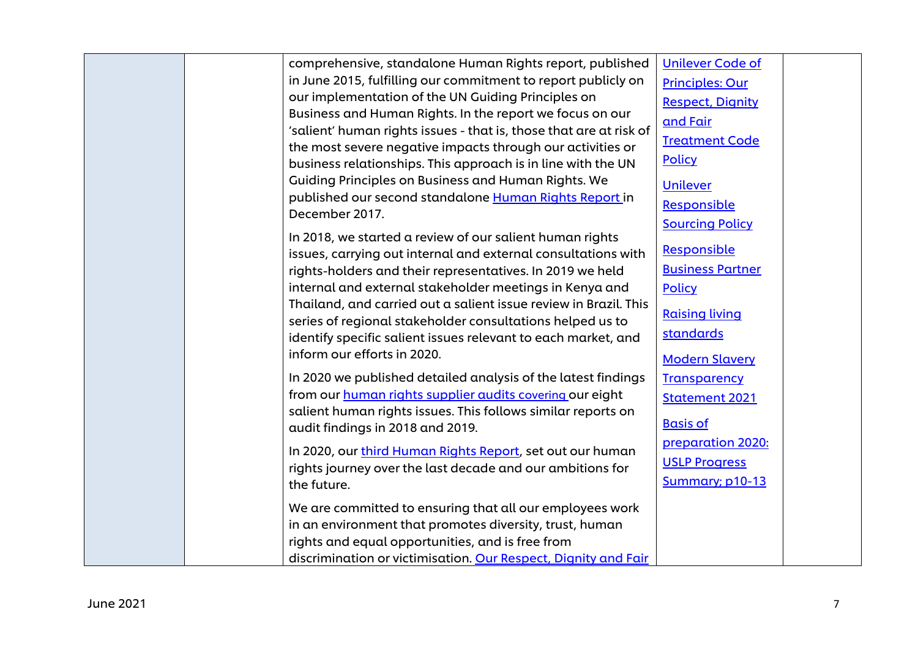| comprehensive, standalone Human Rights report, published           | <b>Unilever Code of</b> |  |
|--------------------------------------------------------------------|-------------------------|--|
| in June 2015, fulfilling our commitment to report publicly on      | <b>Principles: Our</b>  |  |
| our implementation of the UN Guiding Principles on                 | <b>Respect, Dignity</b> |  |
| Business and Human Rights. In the report we focus on our           | and Fair                |  |
| 'salient' human rights issues - that is, those that are at risk of | <b>Treatment Code</b>   |  |
| the most severe negative impacts through our activities or         |                         |  |
| business relationships. This approach is in line with the UN       | <b>Policy</b>           |  |
| Guiding Principles on Business and Human Rights. We                | <b>Unilever</b>         |  |
| published our second standalone Human Rights Report in             | Responsible             |  |
| December 2017.                                                     | <b>Sourcing Policy</b>  |  |
| In 2018, we started a review of our salient human rights           |                         |  |
| issues, carrying out internal and external consultations with      | Responsible             |  |
| rights-holders and their representatives. In 2019 we held          | <b>Business Partner</b> |  |
| internal and external stakeholder meetings in Kenya and            | <b>Policy</b>           |  |
| Thailand, and carried out a salient issue review in Brazil. This   |                         |  |
| series of regional stakeholder consultations helped us to          | <b>Raising living</b>   |  |
| identify specific salient issues relevant to each market, and      | standards               |  |
| inform our efforts in 2020.                                        | <b>Modern Slavery</b>   |  |
| In 2020 we published detailed analysis of the latest findings      | <b>Transparency</b>     |  |
| from our human rights supplier audits covering our eight           |                         |  |
| salient human rights issues. This follows similar reports on       | <b>Statement 2021</b>   |  |
| audit findings in 2018 and 2019.                                   | <b>Basis of</b>         |  |
|                                                                    | preparation 2020:       |  |
| In 2020, our third Human Rights Report, set out our human          | <b>USLP Progress</b>    |  |
| rights journey over the last decade and our ambitions for          |                         |  |
| the future.                                                        | <b>Summary</b> ; p10-13 |  |
| We are committed to ensuring that all our employees work           |                         |  |
| in an environment that promotes diversity, trust, human            |                         |  |
| rights and equal opportunities, and is free from                   |                         |  |
| discrimination or victimisation. Our Respect, Dignity and Fair     |                         |  |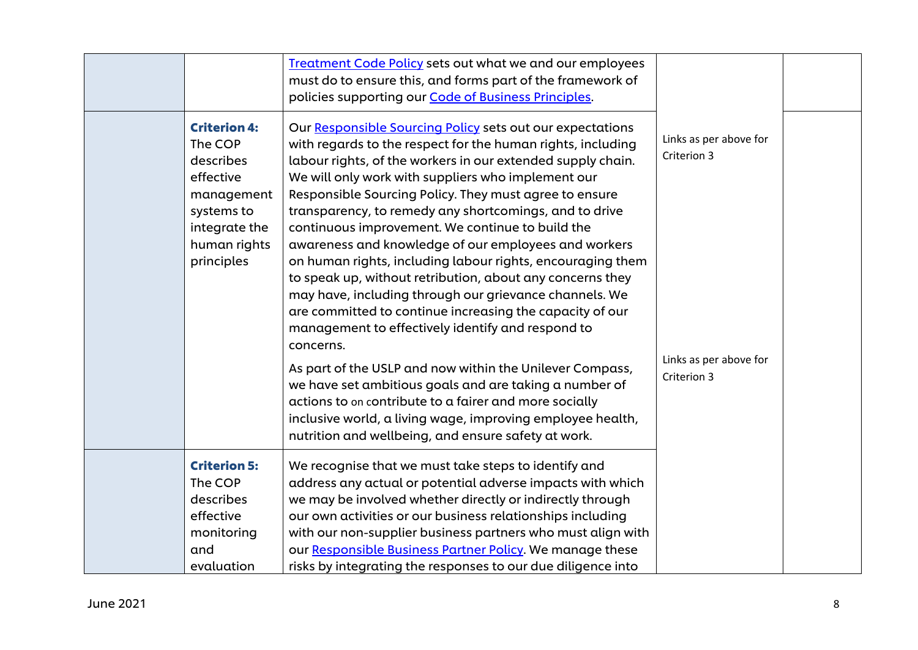|                                                                                                                                     | Treatment Code Policy sets out what we and our employees<br>must do to ensure this, and forms part of the framework of<br>policies supporting our Code of Business Principles.                                                                                                                                                                                                                                                                                                                                                                                                                                                                                                                                                                                                                                                                                                                                                                                                                                                                 |                                                                                |  |
|-------------------------------------------------------------------------------------------------------------------------------------|------------------------------------------------------------------------------------------------------------------------------------------------------------------------------------------------------------------------------------------------------------------------------------------------------------------------------------------------------------------------------------------------------------------------------------------------------------------------------------------------------------------------------------------------------------------------------------------------------------------------------------------------------------------------------------------------------------------------------------------------------------------------------------------------------------------------------------------------------------------------------------------------------------------------------------------------------------------------------------------------------------------------------------------------|--------------------------------------------------------------------------------|--|
| <b>Criterion 4:</b><br>The COP<br>describes<br>effective<br>management<br>systems to<br>integrate the<br>human rights<br>principles | Our Responsible Sourcing Policy sets out our expectations<br>with regards to the respect for the human rights, including<br>labour rights, of the workers in our extended supply chain.<br>We will only work with suppliers who implement our<br>Responsible Sourcing Policy. They must agree to ensure<br>transparency, to remedy any shortcomings, and to drive<br>continuous improvement. We continue to build the<br>awareness and knowledge of our employees and workers<br>on human rights, including labour rights, encouraging them<br>to speak up, without retribution, about any concerns they<br>may have, including through our grievance channels. We<br>are committed to continue increasing the capacity of our<br>management to effectively identify and respond to<br>concerns.<br>As part of the USLP and now within the Unilever Compass,<br>we have set ambitious goals and are taking a number of<br>actions to on contribute to a fairer and more socially<br>inclusive world, a living wage, improving employee health, | Links as per above for<br>Criterion 3<br>Links as per above for<br>Criterion 3 |  |
|                                                                                                                                     | nutrition and wellbeing, and ensure safety at work.                                                                                                                                                                                                                                                                                                                                                                                                                                                                                                                                                                                                                                                                                                                                                                                                                                                                                                                                                                                            |                                                                                |  |
| <b>Criterion 5:</b><br>The COP<br>describes<br>effective<br>monitoring<br>and                                                       | We recognise that we must take steps to identify and<br>address any actual or potential adverse impacts with which<br>we may be involved whether directly or indirectly through<br>our own activities or our business relationships including<br>with our non-supplier business partners who must align with<br>our Responsible Business Partner Policy. We manage these                                                                                                                                                                                                                                                                                                                                                                                                                                                                                                                                                                                                                                                                       |                                                                                |  |
| evaluation                                                                                                                          | risks by integrating the responses to our due diligence into                                                                                                                                                                                                                                                                                                                                                                                                                                                                                                                                                                                                                                                                                                                                                                                                                                                                                                                                                                                   |                                                                                |  |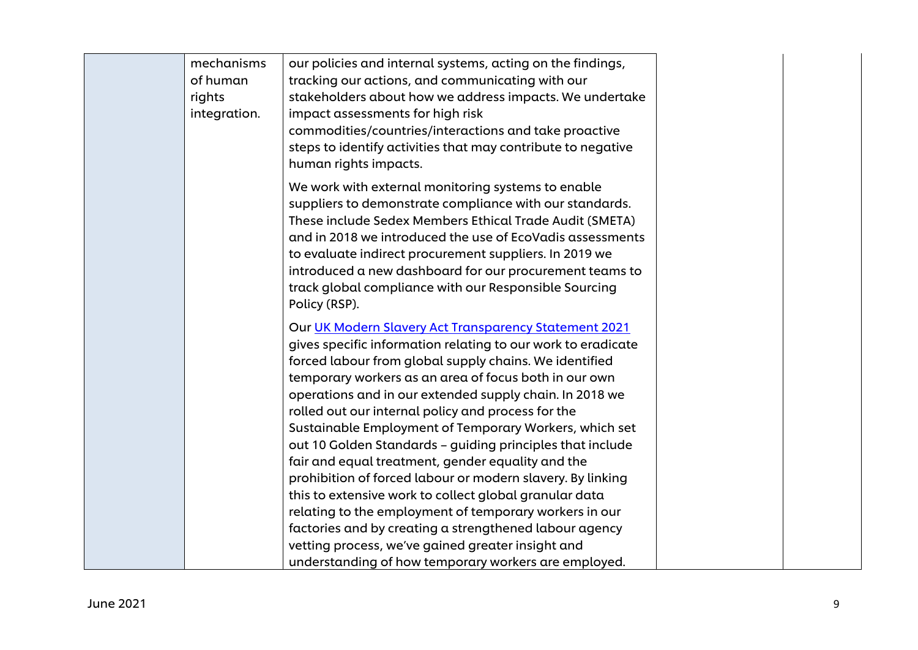| mechanisms<br>of human<br>rights<br>integration. | our policies and internal systems, acting on the findings,<br>tracking our actions, and communicating with our<br>stakeholders about how we address impacts. We undertake<br>impact assessments for high risk<br>commodities/countries/interactions and take proactive<br>steps to identify activities that may contribute to negative<br>human rights impacts.                                                                                                                                                                                                                                     |  |
|--------------------------------------------------|-----------------------------------------------------------------------------------------------------------------------------------------------------------------------------------------------------------------------------------------------------------------------------------------------------------------------------------------------------------------------------------------------------------------------------------------------------------------------------------------------------------------------------------------------------------------------------------------------------|--|
|                                                  | We work with external monitoring systems to enable<br>suppliers to demonstrate compliance with our standards.<br>These include Sedex Members Ethical Trade Audit (SMETA)<br>and in 2018 we introduced the use of EcoVadis assessments<br>to evaluate indirect procurement suppliers. In 2019 we<br>introduced a new dashboard for our procurement teams to<br>track global compliance with our Responsible Sourcing<br>Policy (RSP).                                                                                                                                                                |  |
|                                                  | Our UK Modern Slavery Act Transparency Statement 2021<br>gives specific information relating to our work to eradicate<br>forced labour from global supply chains. We identified<br>temporary workers as an area of focus both in our own<br>operations and in our extended supply chain. In 2018 we<br>rolled out our internal policy and process for the<br>Sustainable Employment of Temporary Workers, which set<br>out 10 Golden Standards - guiding principles that include<br>fair and equal treatment, gender equality and the<br>prohibition of forced labour or modern slavery. By linking |  |
|                                                  | this to extensive work to collect global granular data<br>relating to the employment of temporary workers in our<br>factories and by creating a strengthened labour agency<br>vetting process, we've gained greater insight and<br>understanding of how temporary workers are employed.                                                                                                                                                                                                                                                                                                             |  |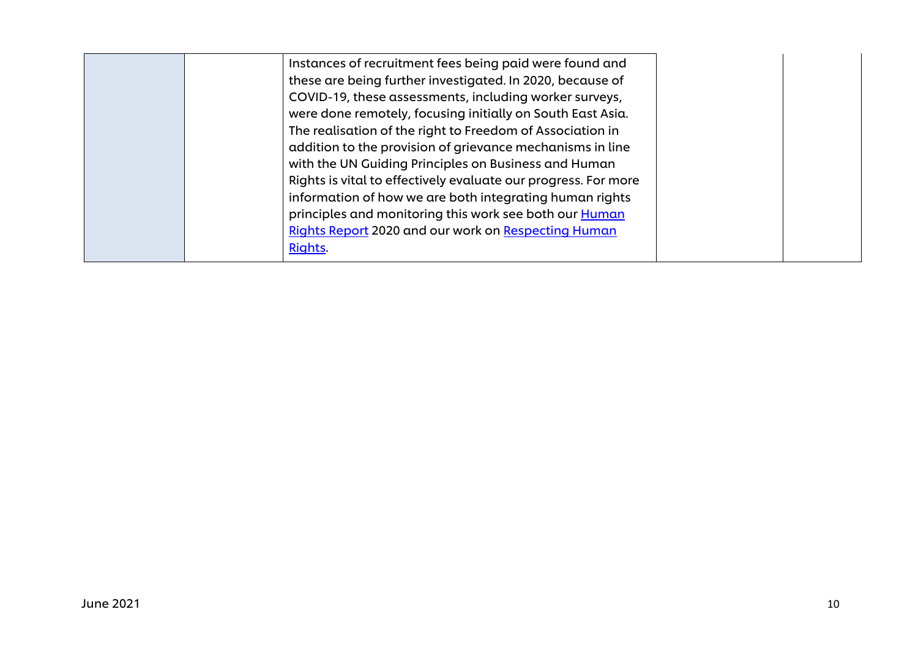| Instances of recruitment fees being paid were found and<br>these are being further investigated. In 2020, because of<br>COVID-19, these assessments, including worker surveys,<br>were done remotely, focusing initially on South East Asia.<br>The realisation of the right to Freedom of Association in<br>addition to the provision of grievance mechanisms in line<br>with the UN Guiding Principles on Business and Human<br>Rights is vital to effectively evaluate our progress. For more<br>information of how we are both integrating human rights<br>principles and monitoring this work see both our <b>Human</b> |  |
|------------------------------------------------------------------------------------------------------------------------------------------------------------------------------------------------------------------------------------------------------------------------------------------------------------------------------------------------------------------------------------------------------------------------------------------------------------------------------------------------------------------------------------------------------------------------------------------------------------------------------|--|
| Rights Report 2020 and our work on Respecting Human<br>Rights.                                                                                                                                                                                                                                                                                                                                                                                                                                                                                                                                                               |  |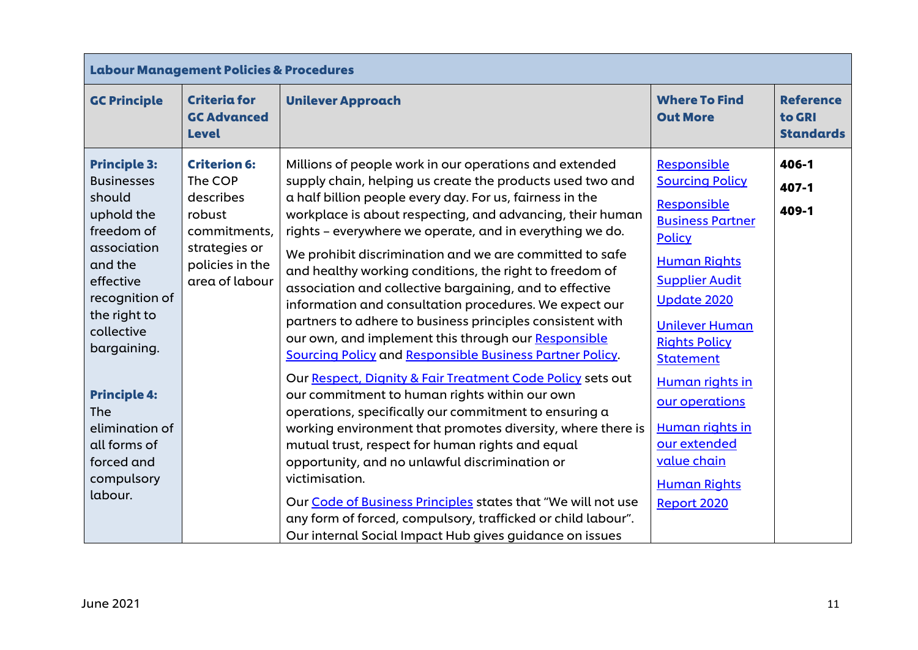|                                                                                                                                                                                                                                                                                                    | <b>Labour Management Policies &amp; Procedures</b>                                                                          |                                                                                                                                                                                                                                                                                                                                                                                                                                                                                                                                                                                                                                                                                                                                                                                                                                                                                                                                                                                                                                                                                                                                                                                                                                                                                               |                                                                                                                                                                                                                                                                                                                                                                   |                                                |  |
|----------------------------------------------------------------------------------------------------------------------------------------------------------------------------------------------------------------------------------------------------------------------------------------------------|-----------------------------------------------------------------------------------------------------------------------------|-----------------------------------------------------------------------------------------------------------------------------------------------------------------------------------------------------------------------------------------------------------------------------------------------------------------------------------------------------------------------------------------------------------------------------------------------------------------------------------------------------------------------------------------------------------------------------------------------------------------------------------------------------------------------------------------------------------------------------------------------------------------------------------------------------------------------------------------------------------------------------------------------------------------------------------------------------------------------------------------------------------------------------------------------------------------------------------------------------------------------------------------------------------------------------------------------------------------------------------------------------------------------------------------------|-------------------------------------------------------------------------------------------------------------------------------------------------------------------------------------------------------------------------------------------------------------------------------------------------------------------------------------------------------------------|------------------------------------------------|--|
| <b>GC Principle</b>                                                                                                                                                                                                                                                                                | <b>Criteria for</b><br><b>GC Advanced</b><br><b>Level</b>                                                                   | <b>Unilever Approach</b>                                                                                                                                                                                                                                                                                                                                                                                                                                                                                                                                                                                                                                                                                                                                                                                                                                                                                                                                                                                                                                                                                                                                                                                                                                                                      | <b>Where To Find</b><br><b>Out More</b>                                                                                                                                                                                                                                                                                                                           | <b>Reference</b><br>to GRI<br><b>Standards</b> |  |
| <b>Principle 3:</b><br><b>Businesses</b><br>should<br>uphold the<br>freedom of<br>association<br>and the<br>effective<br>recognition of<br>the right to<br>collective<br>bargaining.<br><b>Principle 4:</b><br><b>The</b><br>elimination of<br>all forms of<br>forced and<br>compulsory<br>labour. | <b>Criterion 6:</b><br>The COP<br>describes<br>robust<br>commitments,<br>strategies or<br>policies in the<br>area of labour | Millions of people work in our operations and extended<br>supply chain, helping us create the products used two and<br>a half billion people every day. For us, fairness in the<br>workplace is about respecting, and advancing, their human<br>rights - everywhere we operate, and in everything we do.<br>We prohibit discrimination and we are committed to safe<br>and healthy working conditions, the right to freedom of<br>association and collective bargaining, and to effective<br>information and consultation procedures. We expect our<br>partners to adhere to business principles consistent with<br>our own, and implement this through our Responsible<br>Sourcing Policy and Responsible Business Partner Policy.<br>Our Respect, Dignity & Fair Treatment Code Policy sets out<br>our commitment to human rights within our own<br>operations, specifically our commitment to ensuring a<br>working environment that promotes diversity, where there is<br>mutual trust, respect for human rights and equal<br>opportunity, and no unlawful discrimination or<br>victimisation.<br>Our Code of Business Principles states that "We will not use<br>any form of forced, compulsory, trafficked or child labour".<br>Our internal Social Impact Hub gives guidance on issues | Responsible<br><b>Sourcing Policy</b><br>Responsible<br><b>Business Partner</b><br>Policy<br><b>Human Rights</b><br><b>Supplier Audit</b><br><b>Update 2020</b><br><b>Unilever Human</b><br><b>Rights Policy</b><br><b>Statement</b><br>Human rights in<br>our operations<br>Human rights in<br>our extended<br>value chain<br><b>Human Rights</b><br>Report 2020 | 406-1<br>407-1<br>409-1                        |  |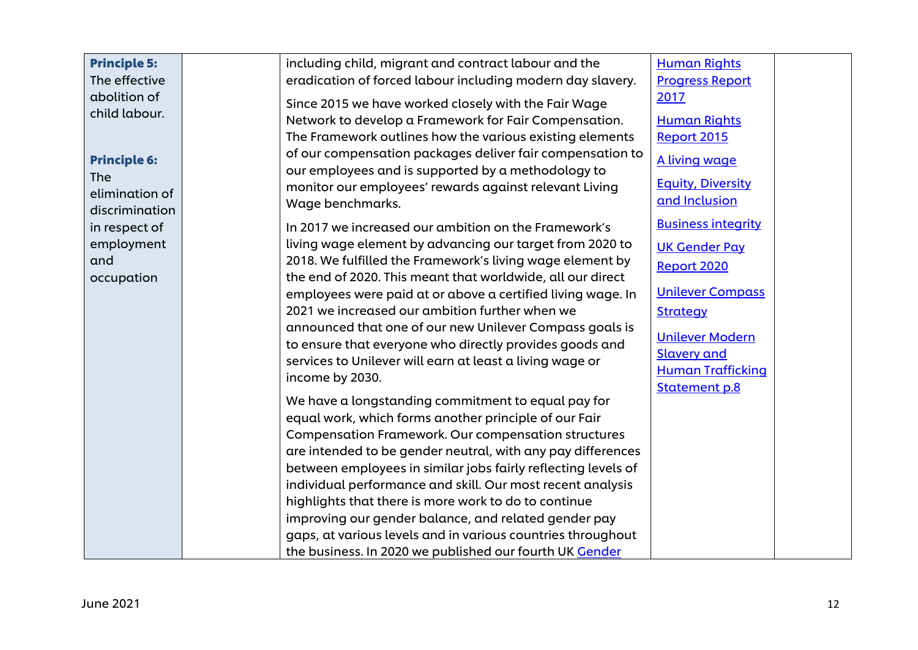| <b>Principle 5:</b>         | including child, migrant and contract labour and the                                                               | <b>Human Rights</b>       |  |
|-----------------------------|--------------------------------------------------------------------------------------------------------------------|---------------------------|--|
| The effective               | eradication of forced labour including modern day slavery.                                                         | <b>Progress Report</b>    |  |
| abolition of                | Since 2015 we have worked closely with the Fair Wage                                                               | 2017                      |  |
| child labour.               | Network to develop a Framework for Fair Compensation.                                                              | <b>Human Rights</b>       |  |
|                             | The Framework outlines how the various existing elements                                                           | Report 2015               |  |
|                             | of our compensation packages deliver fair compensation to                                                          |                           |  |
| <b>Principle 6:</b>         | our employees and is supported by a methodology to                                                                 | A living wage             |  |
| <b>The</b>                  | monitor our employees' rewards against relevant Living                                                             | <b>Equity, Diversity</b>  |  |
| elimination of              | Wage benchmarks.                                                                                                   | and Inclusion             |  |
| discrimination              | In 2017 we increased our ambition on the Framework's                                                               | <b>Business integrity</b> |  |
| in respect of<br>employment | living wage element by advancing our target from 2020 to                                                           |                           |  |
| and                         | 2018. We fulfilled the Framework's living wage element by                                                          | <b>UK Gender Pay</b>      |  |
| occupation                  | the end of 2020. This meant that worldwide, all our direct                                                         | Report 2020               |  |
|                             | employees were paid at or above a certified living wage. In                                                        | <b>Unilever Compass</b>   |  |
|                             | 2021 we increased our ambition further when we                                                                     | <b>Strategy</b>           |  |
|                             | announced that one of our new Unilever Compass goals is                                                            |                           |  |
|                             | to ensure that everyone who directly provides goods and                                                            | <b>Unilever Modern</b>    |  |
|                             | services to Unilever will earn at least a living wage or                                                           | <b>Slavery and</b>        |  |
|                             | income by 2030.                                                                                                    | <b>Human Trafficking</b>  |  |
|                             |                                                                                                                    | <b>Statement p.8</b>      |  |
|                             | We have a longstanding commitment to equal pay for                                                                 |                           |  |
|                             | equal work, which forms another principle of our Fair                                                              |                           |  |
|                             | <b>Compensation Framework. Our compensation structures</b>                                                         |                           |  |
|                             | are intended to be gender neutral, with any pay differences                                                        |                           |  |
|                             | between employees in similar jobs fairly reflecting levels of                                                      |                           |  |
|                             | individual performance and skill. Our most recent analysis<br>highlights that there is more work to do to continue |                           |  |
|                             | improving our gender balance, and related gender pay                                                               |                           |  |
|                             | gaps, at various levels and in various countries throughout                                                        |                           |  |
|                             | the business. In 2020 we published our fourth UK Gender                                                            |                           |  |
|                             |                                                                                                                    |                           |  |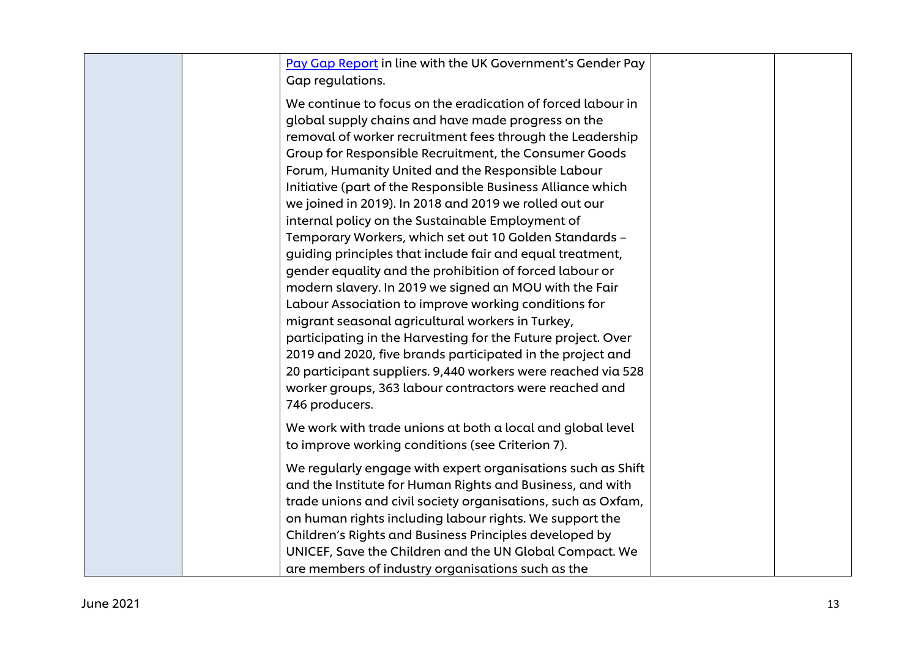| Pay Gap Report in line with the UK Government's Gender Pay<br>Gap regulations.                                                                                                                                                                                                                                                                                                                                                                                                                                                                                                                                                                                                                                                                                                                                                                                                                                                                                                                                                                                                                              |  |
|-------------------------------------------------------------------------------------------------------------------------------------------------------------------------------------------------------------------------------------------------------------------------------------------------------------------------------------------------------------------------------------------------------------------------------------------------------------------------------------------------------------------------------------------------------------------------------------------------------------------------------------------------------------------------------------------------------------------------------------------------------------------------------------------------------------------------------------------------------------------------------------------------------------------------------------------------------------------------------------------------------------------------------------------------------------------------------------------------------------|--|
| We continue to focus on the eradication of forced labour in<br>global supply chains and have made progress on the<br>removal of worker recruitment fees through the Leadership<br>Group for Responsible Recruitment, the Consumer Goods<br>Forum, Humanity United and the Responsible Labour<br>Initiative (part of the Responsible Business Alliance which<br>we joined in 2019). In 2018 and 2019 we rolled out our<br>internal policy on the Sustainable Employment of<br>Temporary Workers, which set out 10 Golden Standards -<br>guiding principles that include fair and equal treatment,<br>gender equality and the prohibition of forced labour or<br>modern slavery. In 2019 we signed an MOU with the Fair<br>Labour Association to improve working conditions for<br>migrant seasonal agricultural workers in Turkey,<br>participating in the Harvesting for the Future project. Over<br>2019 and 2020, five brands participated in the project and<br>20 participant suppliers. 9,440 workers were reached via 528<br>worker groups, 363 labour contractors were reached and<br>746 producers. |  |
| We work with trade unions at both a local and global level<br>to improve working conditions (see Criterion 7).                                                                                                                                                                                                                                                                                                                                                                                                                                                                                                                                                                                                                                                                                                                                                                                                                                                                                                                                                                                              |  |
| We regularly engage with expert organisations such as Shift<br>and the Institute for Human Rights and Business, and with<br>trade unions and civil society organisations, such as Oxfam,<br>on human rights including labour rights. We support the<br>Children's Rights and Business Principles developed by<br>UNICEF, Save the Children and the UN Global Compact. We<br>are members of industry organisations such as the                                                                                                                                                                                                                                                                                                                                                                                                                                                                                                                                                                                                                                                                               |  |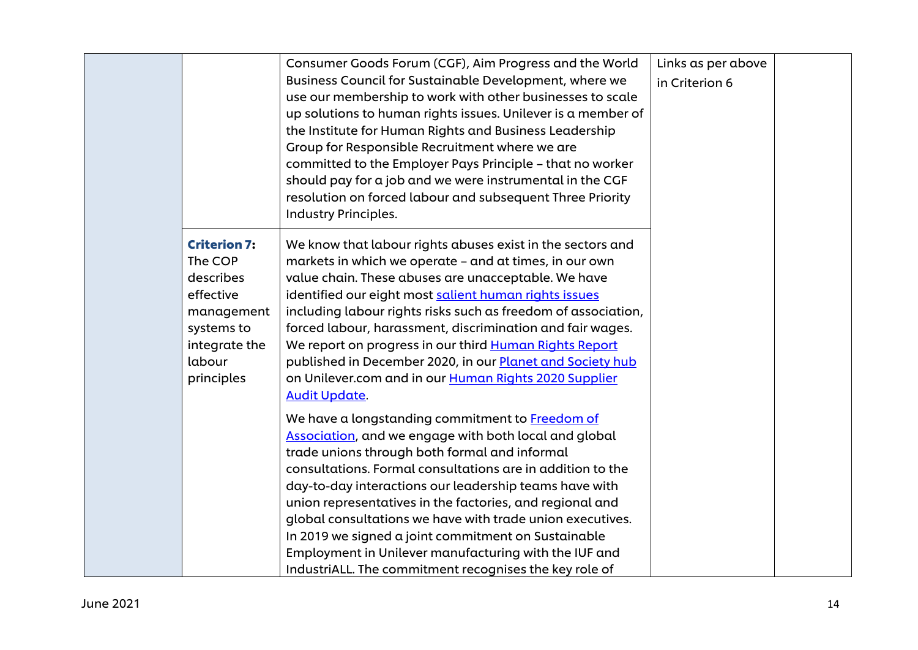|                     | Consumer Goods Forum (CGF), Aim Progress and the World<br>Business Council for Sustainable Development, where we<br>use our membership to work with other businesses to scale<br>up solutions to human rights issues. Unilever is a member of<br>the Institute for Human Rights and Business Leadership<br>Group for Responsible Recruitment where we are<br>committed to the Employer Pays Principle - that no worker<br>should pay for a job and we were instrumental in the CGF<br>resolution on forced labour and subsequent Three Priority<br>Industry Principles. | Links as per above<br>in Criterion 6 |  |
|---------------------|-------------------------------------------------------------------------------------------------------------------------------------------------------------------------------------------------------------------------------------------------------------------------------------------------------------------------------------------------------------------------------------------------------------------------------------------------------------------------------------------------------------------------------------------------------------------------|--------------------------------------|--|
| <b>Criterion 7:</b> | We know that labour rights abuses exist in the sectors and                                                                                                                                                                                                                                                                                                                                                                                                                                                                                                              |                                      |  |
| The COP             | markets in which we operate - and at times, in our own                                                                                                                                                                                                                                                                                                                                                                                                                                                                                                                  |                                      |  |
| describes           | value chain. These abuses are unacceptable. We have                                                                                                                                                                                                                                                                                                                                                                                                                                                                                                                     |                                      |  |
| effective           | identified our eight most salient human rights issues                                                                                                                                                                                                                                                                                                                                                                                                                                                                                                                   |                                      |  |
| management          | including labour rights risks such as freedom of association,                                                                                                                                                                                                                                                                                                                                                                                                                                                                                                           |                                      |  |
| systems to          | forced labour, harassment, discrimination and fair wages.                                                                                                                                                                                                                                                                                                                                                                                                                                                                                                               |                                      |  |
| integrate the       | We report on progress in our third Human Rights Report                                                                                                                                                                                                                                                                                                                                                                                                                                                                                                                  |                                      |  |
| labour              | published in December 2020, in our Planet and Society hub                                                                                                                                                                                                                                                                                                                                                                                                                                                                                                               |                                      |  |
| principles          | on Unilever.com and in our Human Rights 2020 Supplier                                                                                                                                                                                                                                                                                                                                                                                                                                                                                                                   |                                      |  |
|                     | <b>Audit Update.</b>                                                                                                                                                                                                                                                                                                                                                                                                                                                                                                                                                    |                                      |  |
|                     | We have a longstanding commitment to Freedom of                                                                                                                                                                                                                                                                                                                                                                                                                                                                                                                         |                                      |  |
|                     | Association, and we engage with both local and global                                                                                                                                                                                                                                                                                                                                                                                                                                                                                                                   |                                      |  |
|                     | trade unions through both formal and informal                                                                                                                                                                                                                                                                                                                                                                                                                                                                                                                           |                                      |  |
|                     | consultations. Formal consultations are in addition to the                                                                                                                                                                                                                                                                                                                                                                                                                                                                                                              |                                      |  |
|                     | day-to-day interactions our leadership teams have with                                                                                                                                                                                                                                                                                                                                                                                                                                                                                                                  |                                      |  |
|                     | union representatives in the factories, and regional and                                                                                                                                                                                                                                                                                                                                                                                                                                                                                                                |                                      |  |
|                     | global consultations we have with trade union executives.                                                                                                                                                                                                                                                                                                                                                                                                                                                                                                               |                                      |  |
|                     | In 2019 we signed a joint commitment on Sustainable                                                                                                                                                                                                                                                                                                                                                                                                                                                                                                                     |                                      |  |
|                     | Employment in Unilever manufacturing with the IUF and                                                                                                                                                                                                                                                                                                                                                                                                                                                                                                                   |                                      |  |
|                     | IndustriALL. The commitment recognises the key role of                                                                                                                                                                                                                                                                                                                                                                                                                                                                                                                  |                                      |  |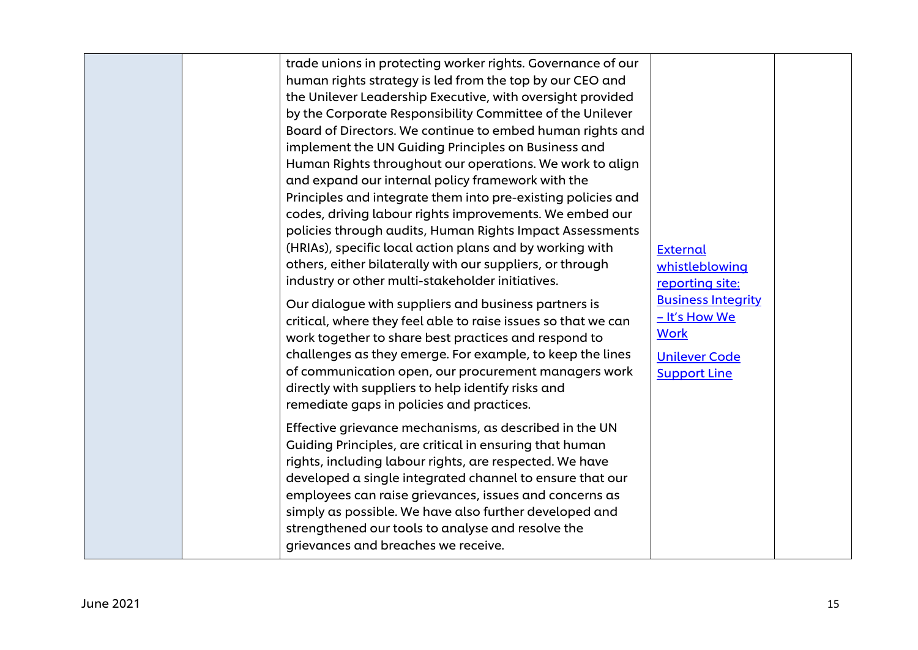| trade unions in protecting worker rights. Governance of our<br>human rights strategy is led from the top by our CEO and<br>the Unilever Leadership Executive, with oversight provided<br>by the Corporate Responsibility Committee of the Unilever<br>Board of Directors. We continue to embed human rights and<br>implement the UN Guiding Principles on Business and<br>Human Rights throughout our operations. We work to align<br>and expand our internal policy framework with the<br>Principles and integrate them into pre-existing policies and<br>codes, driving labour rights improvements. We embed our<br>policies through audits, Human Rights Impact Assessments<br>(HRIAs), specific local action plans and by working with<br>others, either bilaterally with our suppliers, or through<br>industry or other multi-stakeholder initiatives.<br>Our dialogue with suppliers and business partners is<br>critical, where they feel able to raise issues so that we can<br>work together to share best practices and respond to<br>challenges as they emerge. For example, to keep the lines<br>of communication open, our procurement managers work<br>directly with suppliers to help identify risks and<br>remediate gaps in policies and practices.<br>Effective grievance mechanisms, as described in the UN<br>Guiding Principles, are critical in ensuring that human<br>rights, including labour rights, are respected. We have<br>developed a single integrated channel to ensure that our<br>employees can raise grievances, issues and concerns as<br>simply as possible. We have also further developed and<br>strengthened our tools to analyse and resolve the | <b>External</b><br>whistleblowing<br>reporting site:<br><b>Business Integrity</b><br>- It's How We<br><b>Work</b><br><b>Unilever Code</b><br><b>Support Line</b> |  |
|-------------------------------------------------------------------------------------------------------------------------------------------------------------------------------------------------------------------------------------------------------------------------------------------------------------------------------------------------------------------------------------------------------------------------------------------------------------------------------------------------------------------------------------------------------------------------------------------------------------------------------------------------------------------------------------------------------------------------------------------------------------------------------------------------------------------------------------------------------------------------------------------------------------------------------------------------------------------------------------------------------------------------------------------------------------------------------------------------------------------------------------------------------------------------------------------------------------------------------------------------------------------------------------------------------------------------------------------------------------------------------------------------------------------------------------------------------------------------------------------------------------------------------------------------------------------------------------------------------------------------------------------------------------------------------------------|------------------------------------------------------------------------------------------------------------------------------------------------------------------|--|
| grievances and breaches we receive.                                                                                                                                                                                                                                                                                                                                                                                                                                                                                                                                                                                                                                                                                                                                                                                                                                                                                                                                                                                                                                                                                                                                                                                                                                                                                                                                                                                                                                                                                                                                                                                                                                                       |                                                                                                                                                                  |  |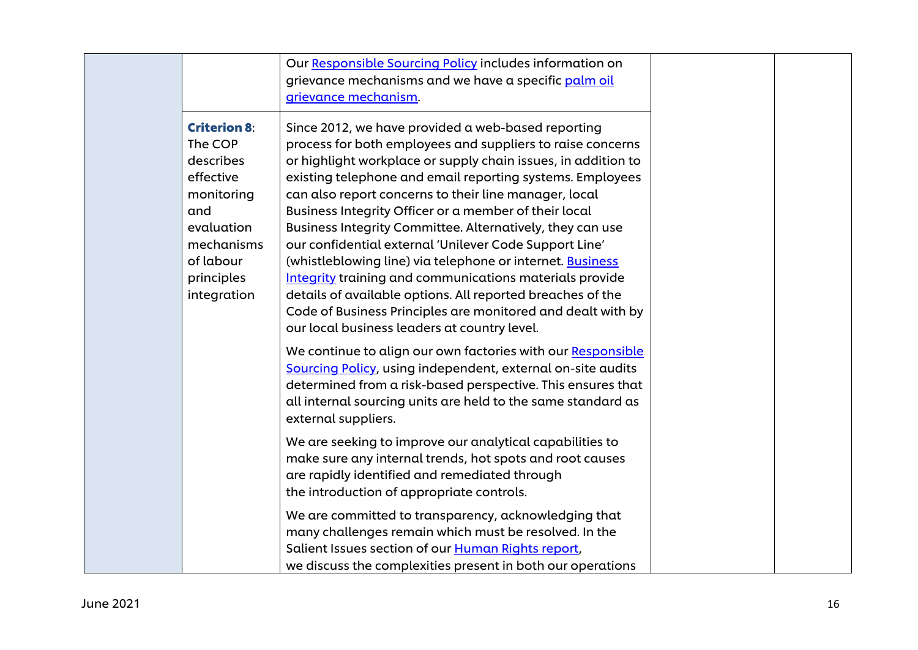|                                                                                                                                                     | Our Responsible Sourcing Policy includes information on<br>grievance mechanisms and we have a specific palm oil<br>grievance mechanism.                                                                                                                                                                                                                                                                                                                                                                                                                                                                                                                                                                                                                                                                    |  |
|-----------------------------------------------------------------------------------------------------------------------------------------------------|------------------------------------------------------------------------------------------------------------------------------------------------------------------------------------------------------------------------------------------------------------------------------------------------------------------------------------------------------------------------------------------------------------------------------------------------------------------------------------------------------------------------------------------------------------------------------------------------------------------------------------------------------------------------------------------------------------------------------------------------------------------------------------------------------------|--|
| <b>Criterion 8:</b><br>The COP<br>describes<br>effective<br>monitoring<br>and<br>evaluation<br>mechanisms<br>of labour<br>principles<br>integration | Since 2012, we have provided a web-based reporting<br>process for both employees and suppliers to raise concerns<br>or highlight workplace or supply chain issues, in addition to<br>existing telephone and email reporting systems. Employees<br>can also report concerns to their line manager, local<br>Business Integrity Officer or a member of their local<br>Business Integrity Committee. Alternatively, they can use<br>our confidential external 'Unilever Code Support Line'<br>(whistleblowing line) via telephone or internet. <b>Business</b><br><b>Integrity</b> training and communications materials provide<br>details of available options. All reported breaches of the<br>Code of Business Principles are monitored and dealt with by<br>our local business leaders at country level. |  |
|                                                                                                                                                     | We continue to align our own factories with our Responsible<br>Sourcing Policy, using independent, external on-site audits<br>determined from a risk-based perspective. This ensures that<br>all internal sourcing units are held to the same standard as<br>external suppliers.                                                                                                                                                                                                                                                                                                                                                                                                                                                                                                                           |  |
|                                                                                                                                                     | We are seeking to improve our analytical capabilities to<br>make sure any internal trends, hot spots and root causes<br>are rapidly identified and remediated through<br>the introduction of appropriate controls.                                                                                                                                                                                                                                                                                                                                                                                                                                                                                                                                                                                         |  |
|                                                                                                                                                     | We are committed to transparency, acknowledging that<br>many challenges remain which must be resolved. In the<br>Salient Issues section of our Human Rights report,<br>we discuss the complexities present in both our operations                                                                                                                                                                                                                                                                                                                                                                                                                                                                                                                                                                          |  |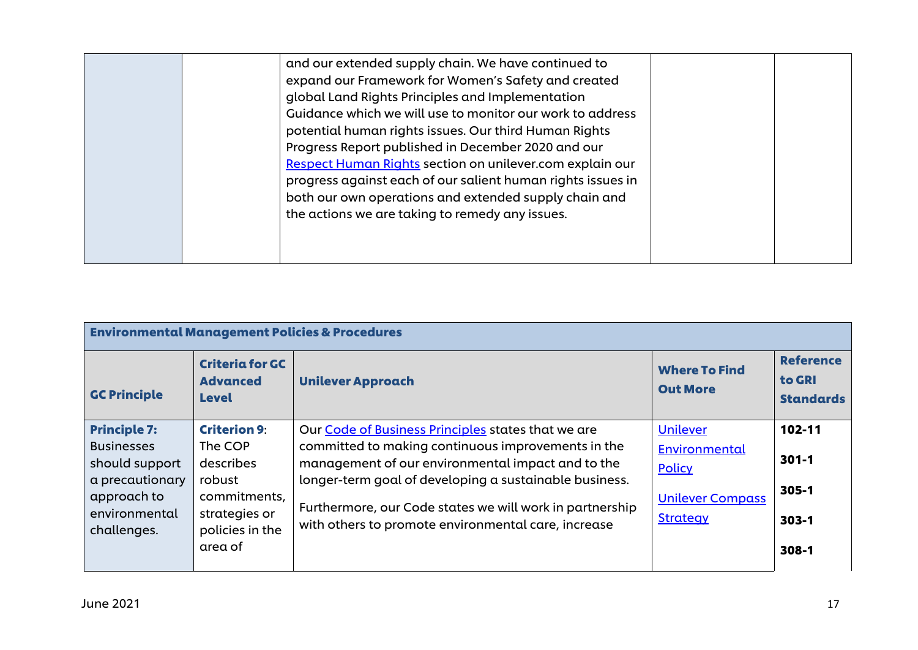|  | and our extended supply chain. We have continued to<br>expand our Framework for Women's Safety and created<br>global Land Rights Principles and Implementation<br>Guidance which we will use to monitor our work to address<br>potential human rights issues. Our third Human Rights<br>Progress Report published in December 2020 and our<br>Respect Human Rights section on unilever.com explain our<br>progress against each of our salient human rights issues in<br>both our own operations and extended supply chain and<br>the actions we are taking to remedy any issues. |  |  |
|--|-----------------------------------------------------------------------------------------------------------------------------------------------------------------------------------------------------------------------------------------------------------------------------------------------------------------------------------------------------------------------------------------------------------------------------------------------------------------------------------------------------------------------------------------------------------------------------------|--|--|
|--|-----------------------------------------------------------------------------------------------------------------------------------------------------------------------------------------------------------------------------------------------------------------------------------------------------------------------------------------------------------------------------------------------------------------------------------------------------------------------------------------------------------------------------------------------------------------------------------|--|--|

| <b>Environmental Management Policies &amp; Procedures</b>                                                                    |                                                                                                                      |                                                                                                                                                                                                                                                                                                                                            |                                                                                   |                                                            |
|------------------------------------------------------------------------------------------------------------------------------|----------------------------------------------------------------------------------------------------------------------|--------------------------------------------------------------------------------------------------------------------------------------------------------------------------------------------------------------------------------------------------------------------------------------------------------------------------------------------|-----------------------------------------------------------------------------------|------------------------------------------------------------|
| <b>GC Principle</b>                                                                                                          | <b>Criteria for GC</b><br><b>Advanced</b><br><b>Level</b>                                                            | <b>Unilever Approach</b>                                                                                                                                                                                                                                                                                                                   | <b>Where To Find</b><br><b>Out More</b>                                           | <b>Reference</b><br>to GRI<br><b>Standards</b>             |
| <b>Principle 7:</b><br><b>Businesses</b><br>should support<br>a precautionary<br>approach to<br>environmental<br>challenges. | <b>Criterion 9:</b><br>The COP<br>describes<br>robust<br>commitments,<br>strategies or<br>policies in the<br>area of | Our Code of Business Principles states that we are<br>committed to making continuous improvements in the<br>management of our environmental impact and to the<br>longer-term goal of developing a sustainable business.<br>Furthermore, our Code states we will work in partnership<br>with others to promote environmental care, increase | Unilever<br>Environmental<br>Policy<br><b>Unilever Compass</b><br><b>Strategy</b> | 102-11<br>$301 - 1$<br>$305 - 1$<br>$303 - 1$<br>$308 - 1$ |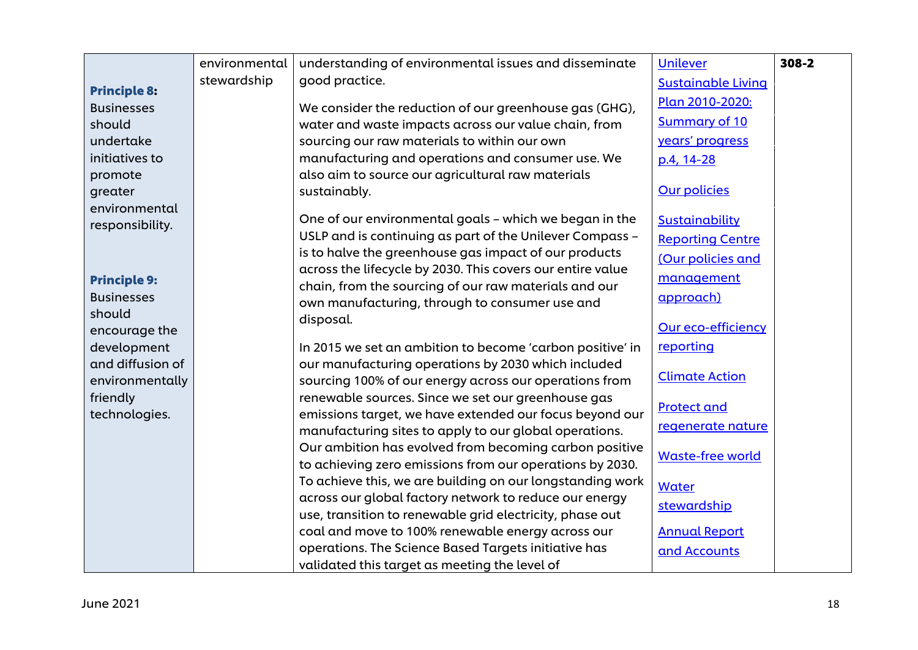|                                          | environmental | understanding of environmental issues and disseminate                                                              | Unilever                  | $308 - 2$ |
|------------------------------------------|---------------|--------------------------------------------------------------------------------------------------------------------|---------------------------|-----------|
|                                          | stewardship   | good practice.                                                                                                     | <b>Sustainable Living</b> |           |
| <b>Principle 8:</b><br><b>Businesses</b> |               | We consider the reduction of our greenhouse gas (GHG),                                                             | Plan 2010-2020:           |           |
| should                                   |               | water and waste impacts across our value chain, from                                                               | <b>Summary of 10</b>      |           |
| undertake                                |               | sourcing our raw materials to within our own                                                                       | years' progress           |           |
| initiatives to                           |               | manufacturing and operations and consumer use. We                                                                  |                           |           |
|                                          |               | also aim to source our agricultural raw materials                                                                  | p.4, 14-28                |           |
| promote                                  |               | sustainably.                                                                                                       | <b>Our policies</b>       |           |
| greater<br>environmental                 |               |                                                                                                                    |                           |           |
| responsibility.                          |               | One of our environmental goals - which we began in the                                                             | Sustainability            |           |
|                                          |               | USLP and is continuing as part of the Unilever Compass -                                                           | <b>Reporting Centre</b>   |           |
|                                          |               | is to halve the greenhouse gas impact of our products                                                              | (Our policies and         |           |
|                                          |               | across the lifecycle by 2030. This covers our entire value                                                         |                           |           |
| <b>Principle 9:</b>                      |               | chain, from the sourcing of our raw materials and our                                                              | management                |           |
| <b>Businesses</b>                        |               | own manufacturing, through to consumer use and                                                                     | approach)                 |           |
| should                                   |               | disposal.                                                                                                          | <b>Our eco-efficiency</b> |           |
| encourage the                            |               |                                                                                                                    |                           |           |
| development                              |               | In 2015 we set an ambition to become 'carbon positive' in                                                          | reporting                 |           |
| and diffusion of                         |               | our manufacturing operations by 2030 which included                                                                | <b>Climate Action</b>     |           |
| environmentally                          |               | sourcing 100% of our energy across our operations from                                                             |                           |           |
| friendly                                 |               | renewable sources. Since we set our greenhouse gas                                                                 | <b>Protect and</b>        |           |
| technologies.                            |               | emissions target, we have extended our focus beyond our                                                            | regenerate nature         |           |
|                                          |               | manufacturing sites to apply to our global operations.                                                             |                           |           |
|                                          |               | Our ambition has evolved from becoming carbon positive                                                             | <b>Waste-free world</b>   |           |
|                                          |               | to achieving zero emissions from our operations by 2030.                                                           |                           |           |
|                                          |               | To achieve this, we are building on our longstanding work                                                          | Water                     |           |
|                                          |               | across our global factory network to reduce our energy<br>use, transition to renewable grid electricity, phase out | stewardship               |           |
|                                          |               | coal and move to 100% renewable energy across our                                                                  | <b>Annual Report</b>      |           |
|                                          |               | operations. The Science Based Targets initiative has                                                               |                           |           |
|                                          |               |                                                                                                                    | and Accounts              |           |
|                                          |               | validated this target as meeting the level of                                                                      |                           |           |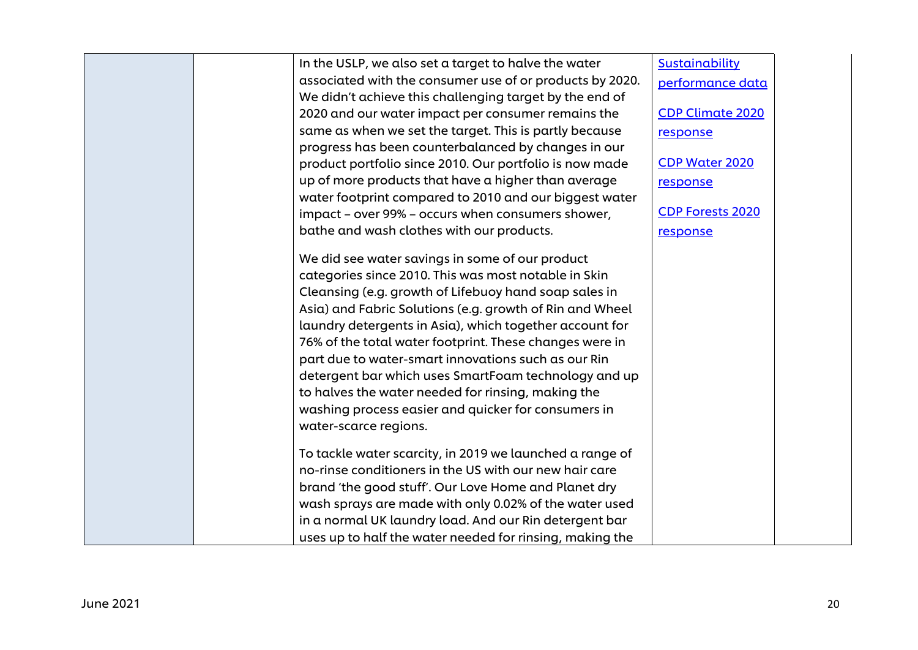| Sustainability<br>In the USLP, we also set a target to halve the water<br>associated with the consumer use of or products by 2020.<br>performance data<br>We didn't achieve this challenging target by the end of<br><b>CDP Climate 2020</b><br>2020 and our water impact per consumer remains the<br>same as when we set the target. This is partly because<br>response |
|--------------------------------------------------------------------------------------------------------------------------------------------------------------------------------------------------------------------------------------------------------------------------------------------------------------------------------------------------------------------------|
|                                                                                                                                                                                                                                                                                                                                                                          |
|                                                                                                                                                                                                                                                                                                                                                                          |
|                                                                                                                                                                                                                                                                                                                                                                          |
|                                                                                                                                                                                                                                                                                                                                                                          |
|                                                                                                                                                                                                                                                                                                                                                                          |
| progress has been counterbalanced by changes in our                                                                                                                                                                                                                                                                                                                      |
| <b>CDP Water 2020</b><br>product portfolio since 2010. Our portfolio is now made                                                                                                                                                                                                                                                                                         |
| up of more products that have a higher than average<br>response                                                                                                                                                                                                                                                                                                          |
| water footprint compared to 2010 and our biggest water                                                                                                                                                                                                                                                                                                                   |
| <b>CDP Forests 2020</b><br>impact - over 99% - occurs when consumers shower,                                                                                                                                                                                                                                                                                             |
| bathe and wash clothes with our products.<br>response                                                                                                                                                                                                                                                                                                                    |
| We did see water savings in some of our product                                                                                                                                                                                                                                                                                                                          |
| categories since 2010. This was most notable in Skin                                                                                                                                                                                                                                                                                                                     |
| Cleansing (e.g. growth of Lifebuoy hand soap sales in                                                                                                                                                                                                                                                                                                                    |
|                                                                                                                                                                                                                                                                                                                                                                          |
| Asia) and Fabric Solutions (e.g. growth of Rin and Wheel                                                                                                                                                                                                                                                                                                                 |
| laundry detergents in Asia), which together account for                                                                                                                                                                                                                                                                                                                  |
| 76% of the total water footprint. These changes were in                                                                                                                                                                                                                                                                                                                  |
| part due to water-smart innovations such as our Rin                                                                                                                                                                                                                                                                                                                      |
| detergent bar which uses SmartFoam technology and up                                                                                                                                                                                                                                                                                                                     |
| to halves the water needed for rinsing, making the                                                                                                                                                                                                                                                                                                                       |
| washing process easier and quicker for consumers in                                                                                                                                                                                                                                                                                                                      |
| water-scarce regions.                                                                                                                                                                                                                                                                                                                                                    |
| To tackle water scarcity, in 2019 we launched a range of                                                                                                                                                                                                                                                                                                                 |
| no-rinse conditioners in the US with our new hair care                                                                                                                                                                                                                                                                                                                   |
| brand 'the good stuff'. Our Love Home and Planet dry                                                                                                                                                                                                                                                                                                                     |
| wash sprays are made with only 0.02% of the water used                                                                                                                                                                                                                                                                                                                   |
| in a normal UK laundry load. And our Rin detergent bar                                                                                                                                                                                                                                                                                                                   |
| uses up to half the water needed for rinsing, making the                                                                                                                                                                                                                                                                                                                 |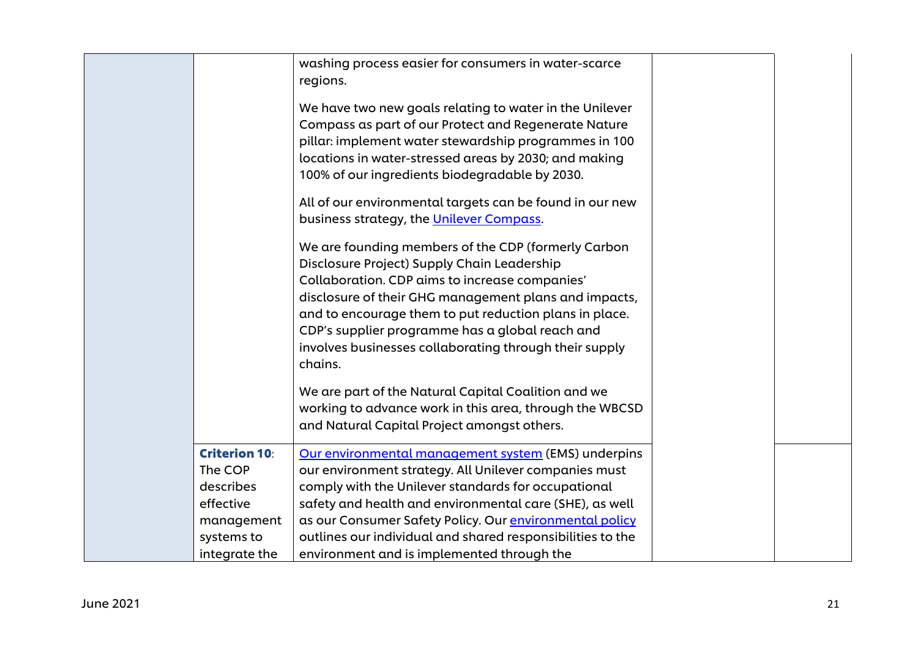|                      | washing process easier for consumers in water-scarce       |  |
|----------------------|------------------------------------------------------------|--|
|                      | regions.                                                   |  |
|                      | We have two new goals relating to water in the Unilever    |  |
|                      | Compass as part of our Protect and Regenerate Nature       |  |
|                      | pillar: implement water stewardship programmes in 100      |  |
|                      | locations in water-stressed areas by 2030; and making      |  |
|                      | 100% of our ingredients biodegradable by 2030.             |  |
|                      | All of our environmental targets can be found in our new   |  |
|                      | business strategy, the Unilever Compass.                   |  |
|                      | We are founding members of the CDP (formerly Carbon        |  |
|                      | Disclosure Project) Supply Chain Leadership                |  |
|                      | Collaboration. CDP aims to increase companies'             |  |
|                      | disclosure of their GHG management plans and impacts,      |  |
|                      | and to encourage them to put reduction plans in place.     |  |
|                      | CDP's supplier programme has a global reach and            |  |
|                      | involves businesses collaborating through their supply     |  |
|                      | chains.                                                    |  |
|                      | We are part of the Natural Capital Coalition and we        |  |
|                      | working to advance work in this area, through the WBCSD    |  |
|                      | and Natural Capital Project amongst others.                |  |
| <b>Criterion 10:</b> | Our environmental management system (EMS) underpins        |  |
| The COP              | our environment strategy. All Unilever companies must      |  |
| describes            | comply with the Unilever standards for occupational        |  |
| effective            | safety and health and environmental care (SHE), as well    |  |
| management           | as our Consumer Safety Policy. Our environmental policy    |  |
| systems to           | outlines our individual and shared responsibilities to the |  |
| integrate the        | environment and is implemented through the                 |  |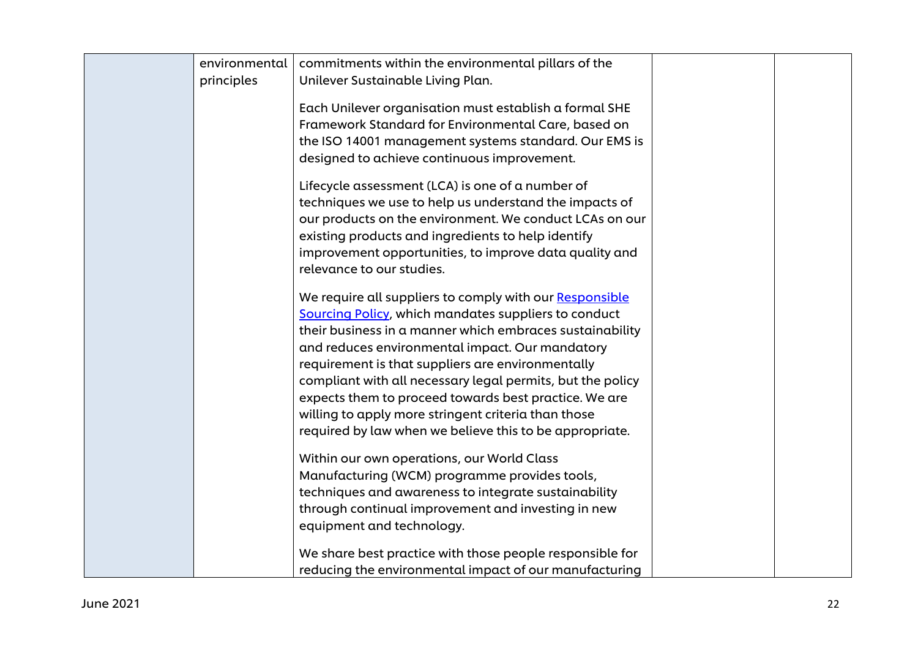| environmental<br>principles | commitments within the environmental pillars of the<br>Unilever Sustainable Living Plan.                                                                                                                                                                                                                                                                                                                                                                                                                                            |
|-----------------------------|-------------------------------------------------------------------------------------------------------------------------------------------------------------------------------------------------------------------------------------------------------------------------------------------------------------------------------------------------------------------------------------------------------------------------------------------------------------------------------------------------------------------------------------|
|                             | Each Unilever organisation must establish a formal SHE<br>Framework Standard for Environmental Care, based on<br>the ISO 14001 management systems standard. Our EMS is<br>designed to achieve continuous improvement.                                                                                                                                                                                                                                                                                                               |
|                             | Lifecycle assessment (LCA) is one of a number of<br>techniques we use to help us understand the impacts of<br>our products on the environment. We conduct LCAs on our<br>existing products and ingredients to help identify<br>improvement opportunities, to improve data quality and<br>relevance to our studies.                                                                                                                                                                                                                  |
|                             | We require all suppliers to comply with our Responsible<br><b>Sourcing Policy, which mandates suppliers to conduct</b><br>their business in a manner which embraces sustainability<br>and reduces environmental impact. Our mandatory<br>requirement is that suppliers are environmentally<br>compliant with all necessary legal permits, but the policy<br>expects them to proceed towards best practice. We are<br>willing to apply more stringent criteria than those<br>required by law when we believe this to be appropriate. |
|                             | Within our own operations, our World Class<br>Manufacturing (WCM) programme provides tools,<br>techniques and awareness to integrate sustainability<br>through continual improvement and investing in new<br>equipment and technology.<br>We share best practice with those people responsible for                                                                                                                                                                                                                                  |
|                             | reducing the environmental impact of our manufacturing                                                                                                                                                                                                                                                                                                                                                                                                                                                                              |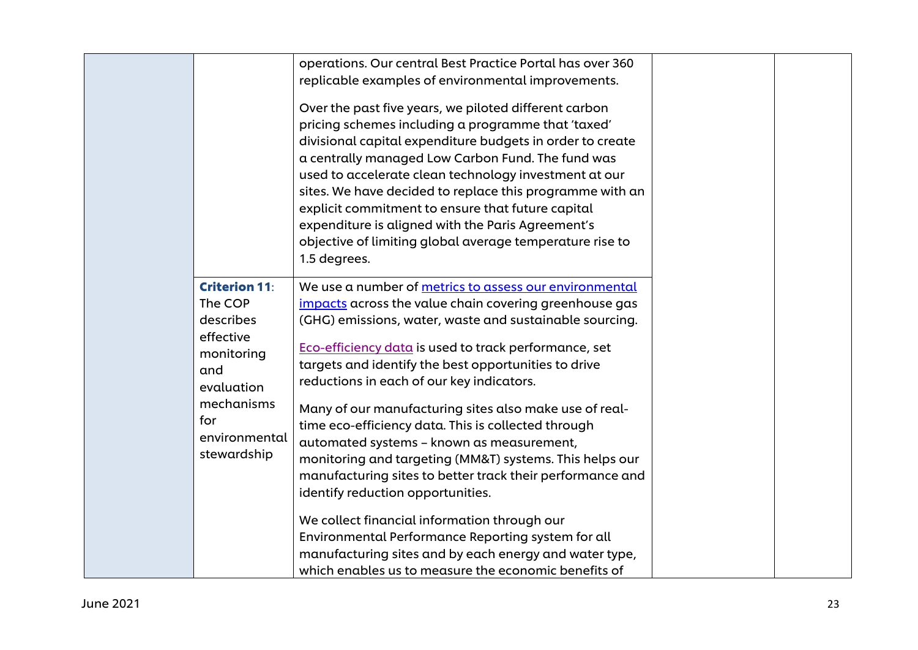|                                                                                                                                                   | operations. Our central Best Practice Portal has over 360<br>replicable examples of environmental improvements.                                                                                                                                                                                                                                                                                                                                                                                                                                                                                                                                                      |  |
|---------------------------------------------------------------------------------------------------------------------------------------------------|----------------------------------------------------------------------------------------------------------------------------------------------------------------------------------------------------------------------------------------------------------------------------------------------------------------------------------------------------------------------------------------------------------------------------------------------------------------------------------------------------------------------------------------------------------------------------------------------------------------------------------------------------------------------|--|
|                                                                                                                                                   | Over the past five years, we piloted different carbon<br>pricing schemes including a programme that 'taxed'<br>divisional capital expenditure budgets in order to create<br>a centrally managed Low Carbon Fund. The fund was<br>used to accelerate clean technology investment at our<br>sites. We have decided to replace this programme with an<br>explicit commitment to ensure that future capital<br>expenditure is aligned with the Paris Agreement's<br>objective of limiting global average temperature rise to<br>1.5 degrees.                                                                                                                             |  |
| <b>Criterion 11:</b><br>The COP<br>describes<br>effective<br>monitoring<br>and<br>evaluation<br>mechanisms<br>for<br>environmental<br>stewardship | We use a number of metrics to assess our environmental<br>impacts across the value chain covering greenhouse gas<br>(GHG) emissions, water, waste and sustainable sourcing.<br>Eco-efficiency data is used to track performance, set<br>targets and identify the best opportunities to drive<br>reductions in each of our key indicators.<br>Many of our manufacturing sites also make use of real-<br>time eco-efficiency data. This is collected through<br>automated systems - known as measurement,<br>monitoring and targeting (MM&T) systems. This helps our<br>manufacturing sites to better track their performance and<br>identify reduction opportunities. |  |
|                                                                                                                                                   | We collect financial information through our<br>Environmental Performance Reporting system for all<br>manufacturing sites and by each energy and water type,<br>which enables us to measure the economic benefits of                                                                                                                                                                                                                                                                                                                                                                                                                                                 |  |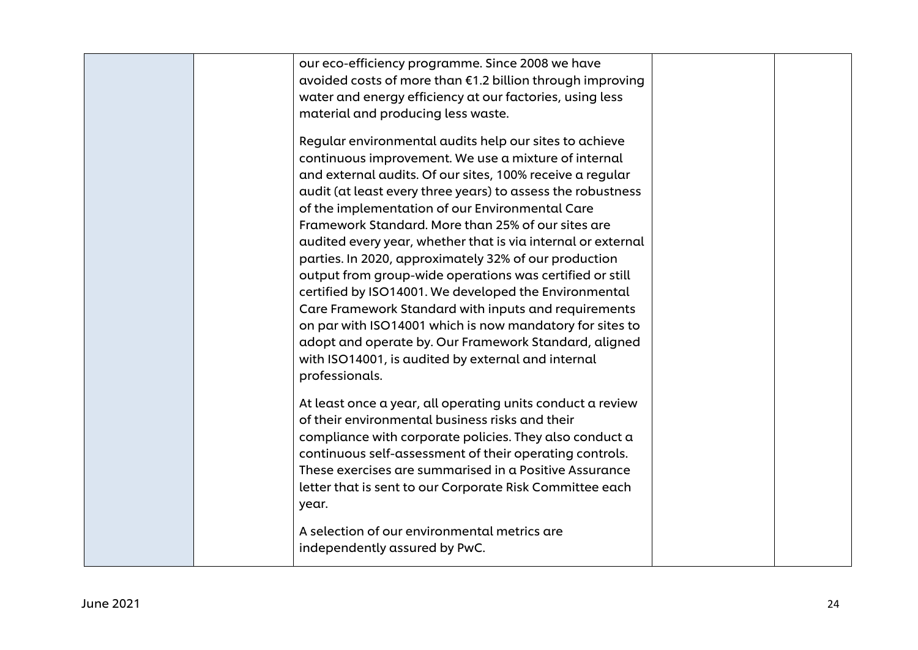| our eco-efficiency programme. Since 2008 we have<br>avoided costs of more than €1.2 billion through improving<br>water and energy efficiency at our factories, using less<br>material and producing less waste.                                                                                                                                                                                                                                                                                                                                                                                                                                                                                                                                                                                                                                        |  |
|--------------------------------------------------------------------------------------------------------------------------------------------------------------------------------------------------------------------------------------------------------------------------------------------------------------------------------------------------------------------------------------------------------------------------------------------------------------------------------------------------------------------------------------------------------------------------------------------------------------------------------------------------------------------------------------------------------------------------------------------------------------------------------------------------------------------------------------------------------|--|
| Regular environmental audits help our sites to achieve<br>continuous improvement. We use a mixture of internal<br>and external audits. Of our sites, 100% receive a regular<br>audit (at least every three years) to assess the robustness<br>of the implementation of our Environmental Care<br>Framework Standard. More than 25% of our sites are<br>audited every year, whether that is via internal or external<br>parties. In 2020, approximately 32% of our production<br>output from group-wide operations was certified or still<br>certified by ISO14001. We developed the Environmental<br>Care Framework Standard with inputs and requirements<br>on par with ISO14001 which is now mandatory for sites to<br>adopt and operate by. Our Framework Standard, aligned<br>with ISO14001, is audited by external and internal<br>professionals. |  |
| At least once a year, all operating units conduct a review<br>of their environmental business risks and their<br>compliance with corporate policies. They also conduct a<br>continuous self-assessment of their operating controls.<br>These exercises are summarised in a Positive Assurance<br>letter that is sent to our Corporate Risk Committee each<br>year.<br>A selection of our environmental metrics are<br>independently assured by PwC.                                                                                                                                                                                                                                                                                                                                                                                                    |  |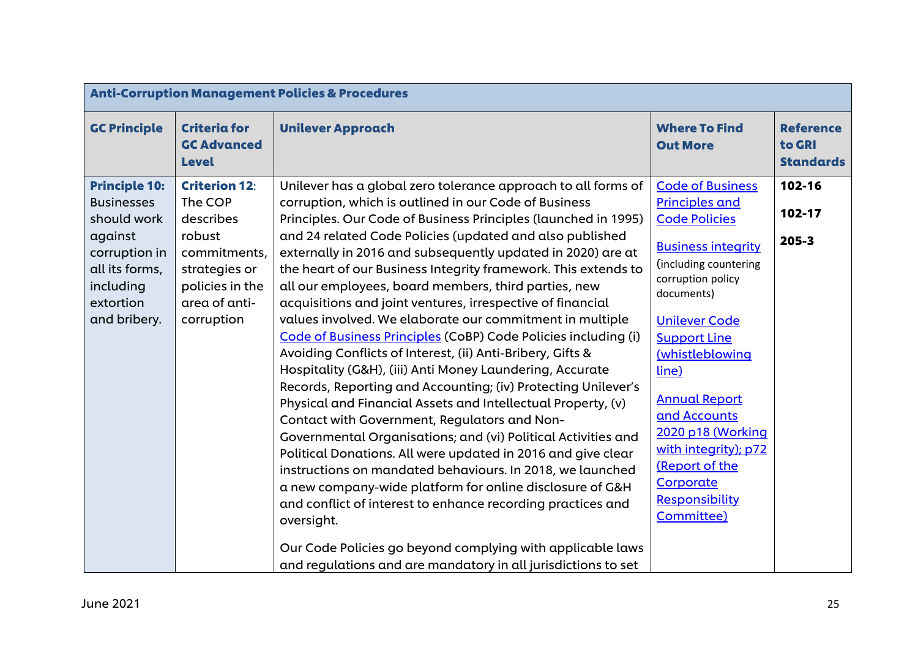| <b>Anti-Corruption Management Policies &amp; Procedures</b>                                                                                      |                                                                                                                                           |                                                                                                                                                                                                                                                                                                                                                                                                                                                                                                                                                                                                                                                                                                                                                                                                                                                                                                                                                                                                                                                                                                                                                                                                                                                                                                                                                           |                                                                                                                                                                                                                                                                                                                                                                                                  |                                                |
|--------------------------------------------------------------------------------------------------------------------------------------------------|-------------------------------------------------------------------------------------------------------------------------------------------|-----------------------------------------------------------------------------------------------------------------------------------------------------------------------------------------------------------------------------------------------------------------------------------------------------------------------------------------------------------------------------------------------------------------------------------------------------------------------------------------------------------------------------------------------------------------------------------------------------------------------------------------------------------------------------------------------------------------------------------------------------------------------------------------------------------------------------------------------------------------------------------------------------------------------------------------------------------------------------------------------------------------------------------------------------------------------------------------------------------------------------------------------------------------------------------------------------------------------------------------------------------------------------------------------------------------------------------------------------------|--------------------------------------------------------------------------------------------------------------------------------------------------------------------------------------------------------------------------------------------------------------------------------------------------------------------------------------------------------------------------------------------------|------------------------------------------------|
| <b>GC Principle</b>                                                                                                                              | <b>Criteria for</b><br><b>GC Advanced</b><br><b>Level</b>                                                                                 | <b>Unilever Approach</b>                                                                                                                                                                                                                                                                                                                                                                                                                                                                                                                                                                                                                                                                                                                                                                                                                                                                                                                                                                                                                                                                                                                                                                                                                                                                                                                                  | <b>Where To Find</b><br><b>Out More</b>                                                                                                                                                                                                                                                                                                                                                          | <b>Reference</b><br>to GRI<br><b>Standards</b> |
| <b>Principle 10:</b><br><b>Businesses</b><br>should work<br>against<br>corruption in<br>all its forms,<br>including<br>extortion<br>and bribery. | <b>Criterion 12:</b><br>The COP<br>describes<br>robust<br>commitments,<br>strategies or<br>policies in the<br>area of anti-<br>corruption | Unilever has a global zero tolerance approach to all forms of<br>corruption, which is outlined in our Code of Business<br>Principles. Our Code of Business Principles (launched in 1995)<br>and 24 related Code Policies (updated and also published<br>externally in 2016 and subsequently updated in 2020) are at<br>the heart of our Business Integrity framework. This extends to<br>all our employees, board members, third parties, new<br>acquisitions and joint ventures, irrespective of financial<br>values involved. We elaborate our commitment in multiple<br>Code of Business Principles (CoBP) Code Policies including (i)<br>Avoiding Conflicts of Interest, (ii) Anti-Bribery, Gifts &<br>Hospitality (G&H), (iii) Anti Money Laundering, Accurate<br>Records, Reporting and Accounting; (iv) Protecting Unilever's<br>Physical and Financial Assets and Intellectual Property, (v)<br>Contact with Government, Regulators and Non-<br>Governmental Organisations; and (vi) Political Activities and<br>Political Donations. All were updated in 2016 and give clear<br>instructions on mandated behaviours. In 2018, we launched<br>a new company-wide platform for online disclosure of G&H<br>and conflict of interest to enhance recording practices and<br>oversight.<br>Our Code Policies go beyond complying with applicable laws | <b>Code of Business</b><br><b>Principles and</b><br><b>Code Policies</b><br><b>Business integrity</b><br>(including countering<br>corruption policy<br>documents)<br><b>Unilever Code</b><br><b>Support Line</b><br>(whistleblowing<br>line)<br><b>Annual Report</b><br>and Accounts<br>2020 p18 (Working<br>with integrity); p72<br>(Report of the<br>Corporate<br>Responsibility<br>Committee) | 102-16<br>102-17<br>$205 - 3$                  |
|                                                                                                                                                  |                                                                                                                                           | and regulations and are mandatory in all jurisdictions to set                                                                                                                                                                                                                                                                                                                                                                                                                                                                                                                                                                                                                                                                                                                                                                                                                                                                                                                                                                                                                                                                                                                                                                                                                                                                                             |                                                                                                                                                                                                                                                                                                                                                                                                  |                                                |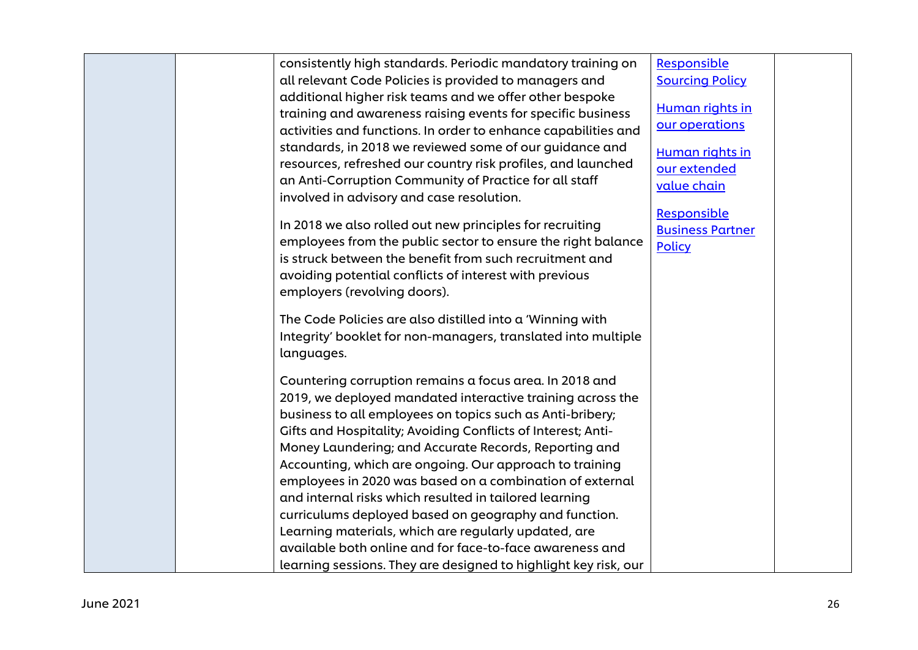| consistently high standards. Periodic mandatory training on     | Responsible             |  |
|-----------------------------------------------------------------|-------------------------|--|
| all relevant Code Policies is provided to managers and          | <b>Sourcing Policy</b>  |  |
| additional higher risk teams and we offer other bespoke         |                         |  |
| training and awareness raising events for specific business     | Human rights in         |  |
| activities and functions. In order to enhance capabilities and  | our operations          |  |
| standards, in 2018 we reviewed some of our guidance and         | Human rights in         |  |
| resources, refreshed our country risk profiles, and launched    | our extended            |  |
| an Anti-Corruption Community of Practice for all staff          | value chain             |  |
| involved in advisory and case resolution.                       |                         |  |
|                                                                 | Responsible             |  |
| In 2018 we also rolled out new principles for recruiting        | <b>Business Partner</b> |  |
| employees from the public sector to ensure the right balance    | <b>Policy</b>           |  |
| is struck between the benefit from such recruitment and         |                         |  |
| avoiding potential conflicts of interest with previous          |                         |  |
| employers (revolving doors).                                    |                         |  |
| The Code Policies are also distilled into a 'Winning with       |                         |  |
| Integrity' booklet for non-managers, translated into multiple   |                         |  |
| languages.                                                      |                         |  |
|                                                                 |                         |  |
| Countering corruption remains a focus area. In 2018 and         |                         |  |
| 2019, we deployed mandated interactive training across the      |                         |  |
| business to all employees on topics such as Anti-bribery;       |                         |  |
| Gifts and Hospitality; Avoiding Conflicts of Interest; Anti-    |                         |  |
| Money Laundering; and Accurate Records, Reporting and           |                         |  |
| Accounting, which are ongoing. Our approach to training         |                         |  |
| employees in 2020 was based on a combination of external        |                         |  |
| and internal risks which resulted in tailored learning          |                         |  |
| curriculums deployed based on geography and function.           |                         |  |
| Learning materials, which are regularly updated, are            |                         |  |
| available both online and for face-to-face awareness and        |                         |  |
| learning sessions. They are designed to highlight key risk, our |                         |  |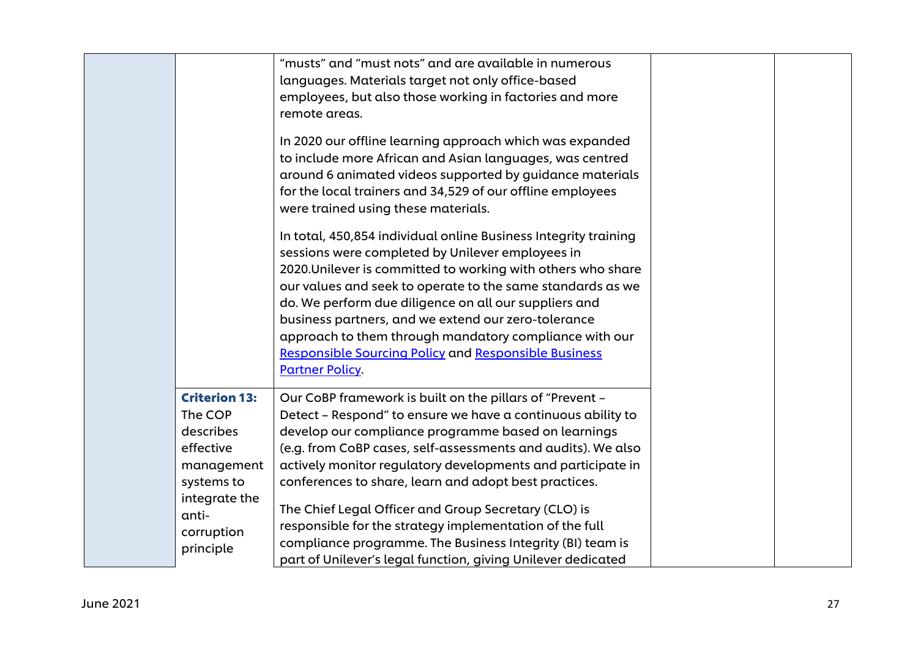|                                                                                       | "musts" and "must nots" and are available in numerous<br>languages. Materials target not only office-based<br>employees, but also those working in factories and more<br>remote areas.                                                                                                                                                                                                                                                                                                                               |  |
|---------------------------------------------------------------------------------------|----------------------------------------------------------------------------------------------------------------------------------------------------------------------------------------------------------------------------------------------------------------------------------------------------------------------------------------------------------------------------------------------------------------------------------------------------------------------------------------------------------------------|--|
|                                                                                       | In 2020 our offline learning approach which was expanded<br>to include more African and Asian languages, was centred<br>around 6 animated videos supported by guidance materials<br>for the local trainers and 34,529 of our offline employees<br>were trained using these materials.                                                                                                                                                                                                                                |  |
|                                                                                       | In total, 450,854 individual online Business Integrity training<br>sessions were completed by Unilever employees in<br>2020. Unilever is committed to working with others who share<br>our values and seek to operate to the same standards as we<br>do. We perform due diligence on all our suppliers and<br>business partners, and we extend our zero-tolerance<br>approach to them through mandatory compliance with our<br><b>Responsible Sourcing Policy and Responsible Business</b><br><b>Partner Policy.</b> |  |
| <b>Criterion 13:</b><br>The COP<br>describes<br>effective<br>management<br>systems to | Our CoBP framework is built on the pillars of "Prevent -<br>Detect - Respond" to ensure we have a continuous ability to<br>develop our compliance programme based on learnings<br>(e.g. from CoBP cases, self-assessments and audits). We also<br>actively monitor regulatory developments and participate in<br>conferences to share, learn and adopt best practices.                                                                                                                                               |  |
| integrate the<br>anti-<br>corruption<br>principle                                     | The Chief Legal Officer and Group Secretary (CLO) is<br>responsible for the strategy implementation of the full<br>compliance programme. The Business Integrity (BI) team is<br>part of Unilever's legal function, giving Unilever dedicated                                                                                                                                                                                                                                                                         |  |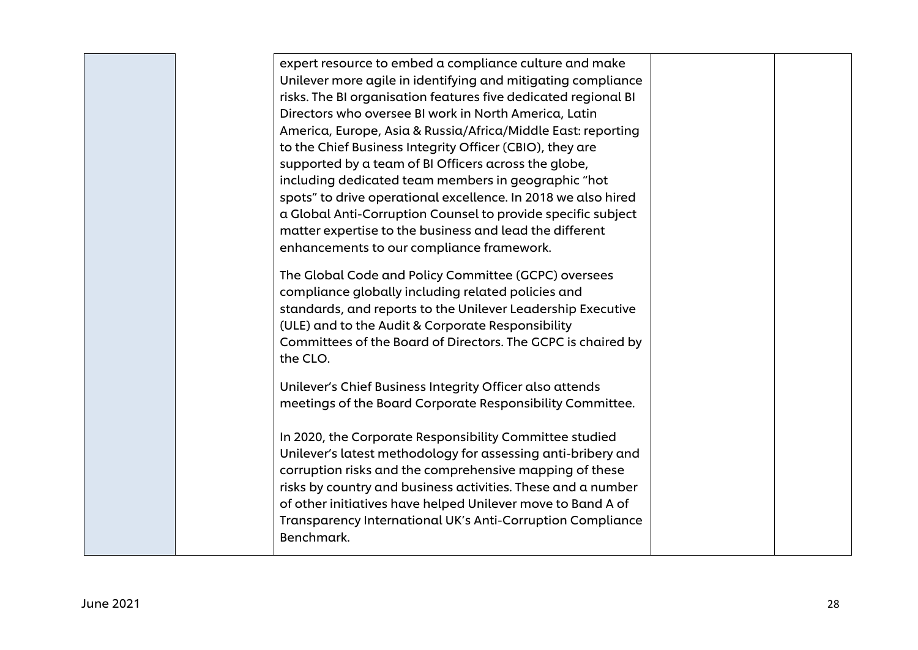| expert resource to embed a compliance culture and make<br>Unilever more agile in identifying and mitigating compliance<br>risks. The BI organisation features five dedicated regional BI<br>Directors who oversee BI work in North America, Latin<br>America, Europe, Asia & Russia/Africa/Middle East: reporting<br>to the Chief Business Integrity Officer (CBIO), they are<br>supported by a team of BI Officers across the globe,<br>including dedicated team members in geographic "hot<br>spots" to drive operational excellence. In 2018 we also hired<br>a Global Anti-Corruption Counsel to provide specific subject<br>matter expertise to the business and lead the different<br>enhancements to our compliance framework.<br>The Global Code and Policy Committee (GCPC) oversees<br>compliance globally including related policies and<br>standards, and reports to the Unilever Leadership Executive<br>(ULE) and to the Audit & Corporate Responsibility |  |
|-------------------------------------------------------------------------------------------------------------------------------------------------------------------------------------------------------------------------------------------------------------------------------------------------------------------------------------------------------------------------------------------------------------------------------------------------------------------------------------------------------------------------------------------------------------------------------------------------------------------------------------------------------------------------------------------------------------------------------------------------------------------------------------------------------------------------------------------------------------------------------------------------------------------------------------------------------------------------|--|
| Committees of the Board of Directors. The GCPC is chaired by<br>the CLO.                                                                                                                                                                                                                                                                                                                                                                                                                                                                                                                                                                                                                                                                                                                                                                                                                                                                                                |  |
| Unilever's Chief Business Integrity Officer also attends<br>meetings of the Board Corporate Responsibility Committee.                                                                                                                                                                                                                                                                                                                                                                                                                                                                                                                                                                                                                                                                                                                                                                                                                                                   |  |
| In 2020, the Corporate Responsibility Committee studied<br>Unilever's latest methodology for assessing anti-bribery and<br>corruption risks and the comprehensive mapping of these<br>risks by country and business activities. These and a number<br>of other initiatives have helped Unilever move to Band A of<br>Transparency International UK's Anti-Corruption Compliance<br>Benchmark.                                                                                                                                                                                                                                                                                                                                                                                                                                                                                                                                                                           |  |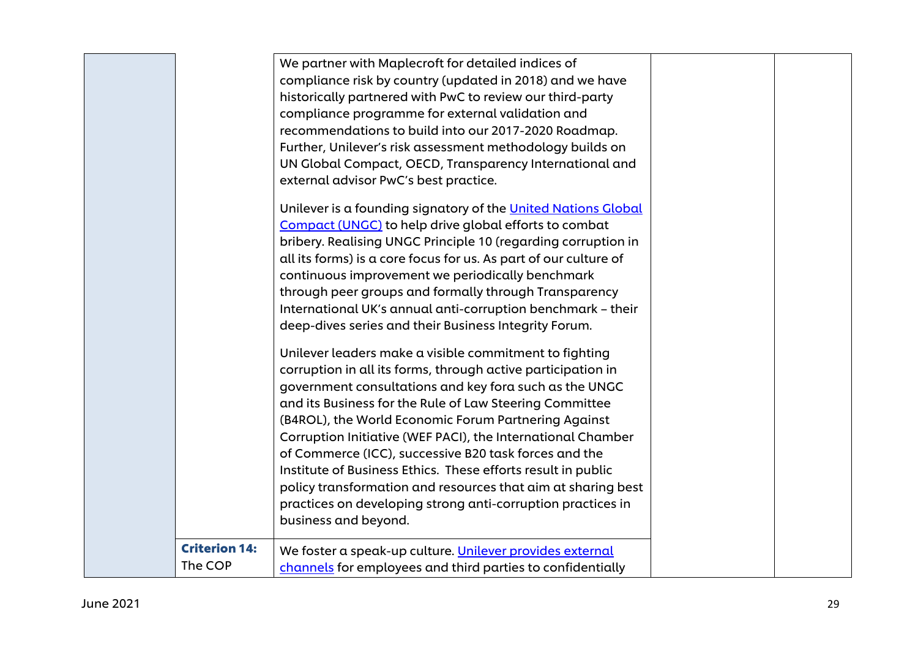|                      | We partner with Maplecroft for detailed indices of               |  |
|----------------------|------------------------------------------------------------------|--|
|                      | compliance risk by country (updated in 2018) and we have         |  |
|                      | historically partnered with PwC to review our third-party        |  |
|                      | compliance programme for external validation and                 |  |
|                      | recommendations to build into our 2017-2020 Roadmap.             |  |
|                      | Further, Unilever's risk assessment methodology builds on        |  |
|                      | UN Global Compact, OECD, Transparency International and          |  |
|                      | external advisor PwC's best practice.                            |  |
|                      | Unilever is a founding signatory of the United Nations Global    |  |
|                      | Compact (UNGC) to help drive global efforts to combat            |  |
|                      | bribery. Realising UNGC Principle 10 (regarding corruption in    |  |
|                      | all its forms) is a core focus for us. As part of our culture of |  |
|                      | continuous improvement we periodically benchmark                 |  |
|                      | through peer groups and formally through Transparency            |  |
|                      | International UK's annual anti-corruption benchmark - their      |  |
|                      | deep-dives series and their Business Integrity Forum.            |  |
|                      | Unilever leaders make a visible commitment to fighting           |  |
|                      | corruption in all its forms, through active participation in     |  |
|                      | government consultations and key fora such as the UNGC           |  |
|                      | and its Business for the Rule of Law Steering Committee          |  |
|                      | (B4ROL), the World Economic Forum Partnering Against             |  |
|                      | Corruption Initiative (WEF PACI), the International Chamber      |  |
|                      | of Commerce (ICC), successive B20 task forces and the            |  |
|                      | Institute of Business Ethics. These efforts result in public     |  |
|                      | policy transformation and resources that aim at sharing best     |  |
|                      | practices on developing strong anti-corruption practices in      |  |
|                      | business and beyond.                                             |  |
| <b>Criterion 14:</b> | We foster a speak-up culture. Unilever provides external         |  |
| The COP              | channels for employees and third parties to confidentially       |  |
|                      |                                                                  |  |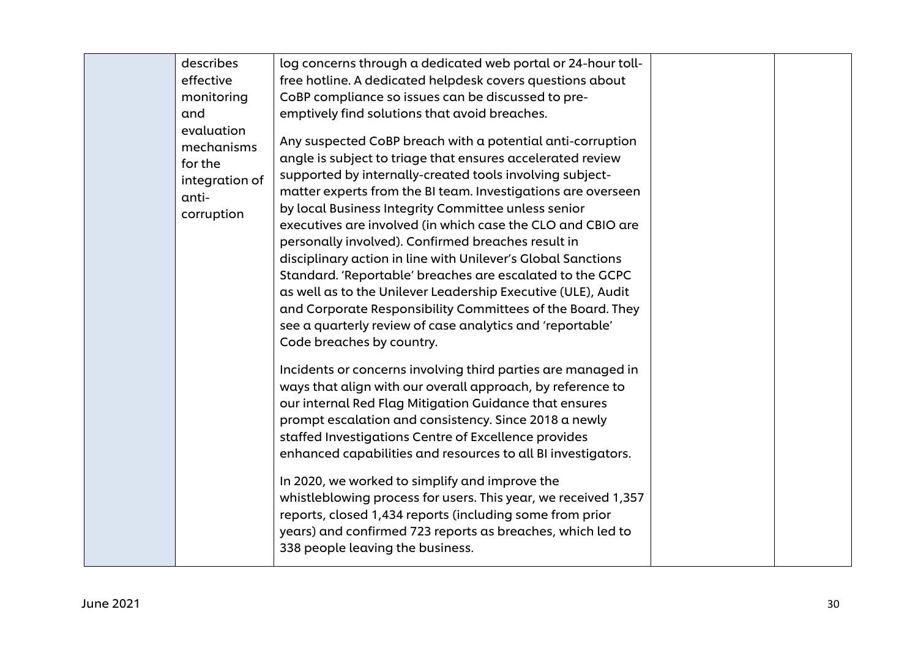| describes                                                                                                      | log concerns through a dedicated web portal or 24-hour toll-                                                                                                                                                                                                                                                                                                                                                                                                                                                                                                                                                                                                                                                                                                                                                                                                                                                                                                                                                                                                       |  |
|----------------------------------------------------------------------------------------------------------------|--------------------------------------------------------------------------------------------------------------------------------------------------------------------------------------------------------------------------------------------------------------------------------------------------------------------------------------------------------------------------------------------------------------------------------------------------------------------------------------------------------------------------------------------------------------------------------------------------------------------------------------------------------------------------------------------------------------------------------------------------------------------------------------------------------------------------------------------------------------------------------------------------------------------------------------------------------------------------------------------------------------------------------------------------------------------|--|
| effective<br>monitoring<br>and<br>evaluation<br>mechanisms<br>for the<br>integration of<br>anti-<br>corruption | free hotline. A dedicated helpdesk covers questions about<br>CoBP compliance so issues can be discussed to pre-<br>emptively find solutions that avoid breaches.<br>Any suspected CoBP breach with a potential anti-corruption<br>angle is subject to triage that ensures accelerated review<br>supported by internally-created tools involving subject-<br>matter experts from the BI team. Investigations are overseen<br>by local Business Integrity Committee unless senior                                                                                                                                                                                                                                                                                                                                                                                                                                                                                                                                                                                    |  |
|                                                                                                                | personally involved). Confirmed breaches result in<br>disciplinary action in line with Unilever's Global Sanctions<br>Standard. 'Reportable' breaches are escalated to the GCPC<br>as well as to the Unilever Leadership Executive (ULE), Audit<br>and Corporate Responsibility Committees of the Board. They<br>see a quarterly review of case analytics and 'reportable'<br>Code breaches by country.<br>Incidents or concerns involving third parties are managed in<br>ways that align with our overall approach, by reference to<br>our internal Red Flag Mitigation Guidance that ensures<br>prompt escalation and consistency. Since 2018 a newly<br>staffed Investigations Centre of Excellence provides<br>enhanced capabilities and resources to all BI investigators.<br>In 2020, we worked to simplify and improve the<br>whistleblowing process for users. This year, we received 1,357<br>reports, closed 1,434 reports (including some from prior<br>years) and confirmed 723 reports as breaches, which led to<br>338 people leaving the business. |  |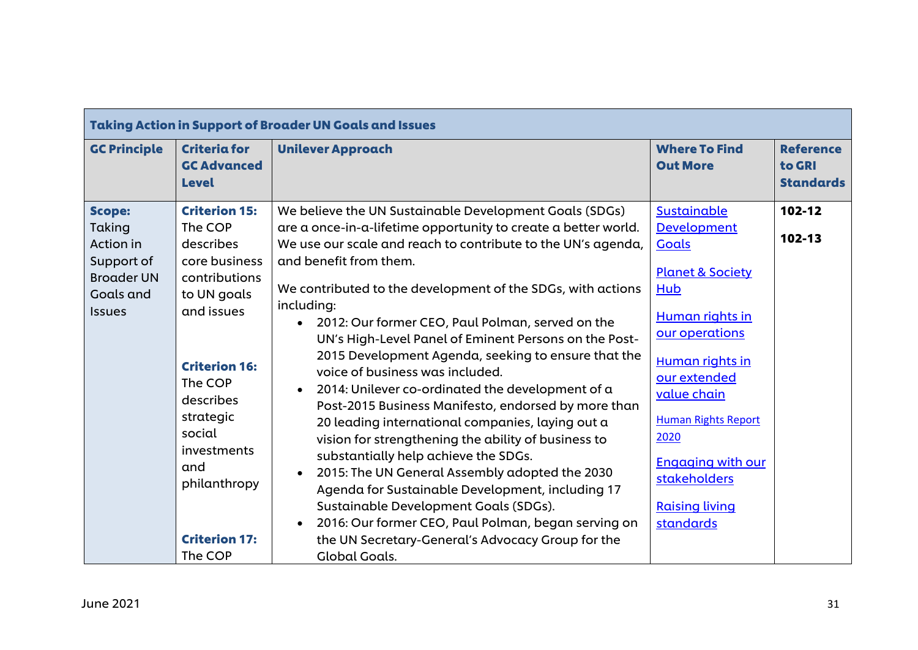| <b>Taking Action in Support of Broader UN Goals and Issues</b>                                               |                                                                                                                                                                                                                                                             |                                                                                                                                                                                                                                                                                                                                                                                                                                                                                                                                                                                                                                                                                                                                                                                                                                                                                                                                                                                                                                                         |                                                                                                                                                                                                                                                                                                        |                                                |
|--------------------------------------------------------------------------------------------------------------|-------------------------------------------------------------------------------------------------------------------------------------------------------------------------------------------------------------------------------------------------------------|---------------------------------------------------------------------------------------------------------------------------------------------------------------------------------------------------------------------------------------------------------------------------------------------------------------------------------------------------------------------------------------------------------------------------------------------------------------------------------------------------------------------------------------------------------------------------------------------------------------------------------------------------------------------------------------------------------------------------------------------------------------------------------------------------------------------------------------------------------------------------------------------------------------------------------------------------------------------------------------------------------------------------------------------------------|--------------------------------------------------------------------------------------------------------------------------------------------------------------------------------------------------------------------------------------------------------------------------------------------------------|------------------------------------------------|
| <b>GC Principle</b>                                                                                          | <b>Criteria for</b><br><b>GC Advanced</b><br><b>Level</b>                                                                                                                                                                                                   | <b>Unilever Approach</b>                                                                                                                                                                                                                                                                                                                                                                                                                                                                                                                                                                                                                                                                                                                                                                                                                                                                                                                                                                                                                                | <b>Where To Find</b><br><b>Out More</b>                                                                                                                                                                                                                                                                | <b>Reference</b><br>to GRI<br><b>Standards</b> |
| <b>Scope:</b><br>Taking<br>Action in<br>Support of<br><b>Broader UN</b><br><b>Goals and</b><br><b>Issues</b> | <b>Criterion 15:</b><br>The COP<br>describes<br>core business<br>contributions<br>to UN goals<br>and issues<br><b>Criterion 16:</b><br>The COP<br>describes<br>strategic<br>social<br>investments<br>and<br>philanthropy<br><b>Criterion 17:</b><br>The COP | We believe the UN Sustainable Development Goals (SDGs)<br>are a once-in-a-lifetime opportunity to create a better world.<br>We use our scale and reach to contribute to the UN's agenda,<br>and benefit from them.<br>We contributed to the development of the SDGs, with actions<br>including:<br>2012: Our former CEO, Paul Polman, served on the<br>UN's High-Level Panel of Eminent Persons on the Post-<br>2015 Development Agenda, seeking to ensure that the<br>voice of business was included.<br>2014: Unilever co-ordinated the development of a<br>Post-2015 Business Manifesto, endorsed by more than<br>20 leading international companies, laying out a<br>vision for strengthening the ability of business to<br>substantially help achieve the SDGs.<br>2015: The UN General Assembly adopted the 2030<br>Agenda for Sustainable Development, including 17<br>Sustainable Development Goals (SDGs).<br>2016: Our former CEO, Paul Polman, began serving on<br>the UN Secretary-General's Advocacy Group for the<br><b>Global Goals.</b> | Sustainable<br><b>Development</b><br><b>Goals</b><br><b>Planet &amp; Society</b><br>Hub<br>Human rights in<br>our operations<br>Human rights in<br>our extended<br>value chain<br><b>Human Rights Report</b><br>2020<br><b>Engaging with our</b><br>stakeholders<br><b>Raising living</b><br>standards | 102-12<br>102-13                               |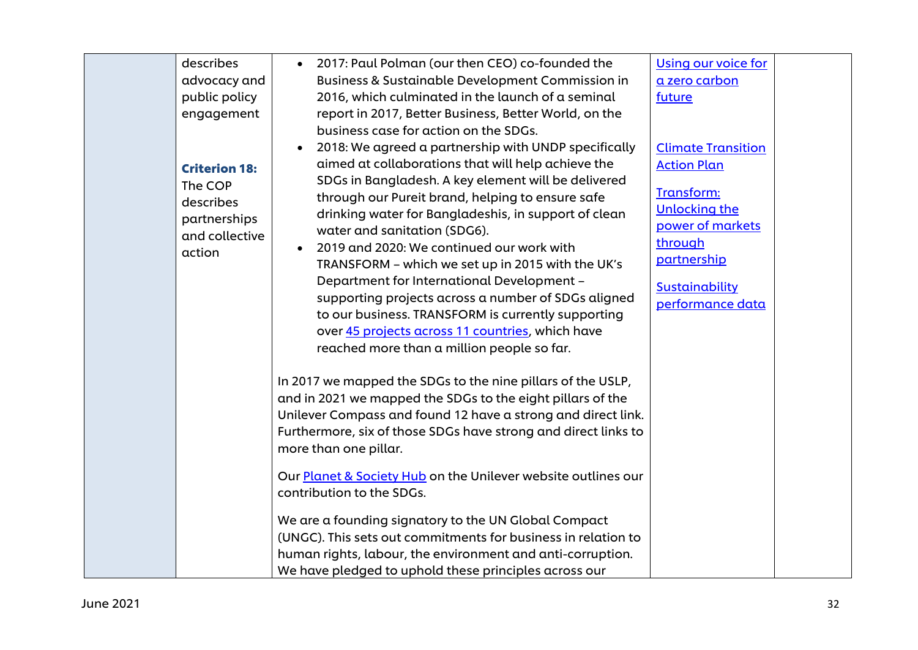| describes<br>advocacy and<br>public policy<br>engagement<br><b>Criterion 18:</b><br>The COP<br>describes<br>partnerships<br>and collective<br>action | 2017: Paul Polman (our then CEO) co-founded the<br><b>Business &amp; Sustainable Development Commission in</b><br>2016, which culminated in the launch of a seminal<br>report in 2017, Better Business, Better World, on the<br>business case for action on the SDGs.<br>2018: We agreed a partnership with UNDP specifically<br>$\bullet$<br>aimed at collaborations that will help achieve the<br>SDGs in Bangladesh. A key element will be delivered<br>through our Pureit brand, helping to ensure safe<br>drinking water for Bangladeshis, in support of clean<br>water and sanitation (SDG6).<br>2019 and 2020: We continued our work with<br>$\bullet$<br>TRANSFORM - which we set up in 2015 with the UK's<br>Department for International Development -                                                                                  | <b>Using our voice for</b><br>a zero carbon<br>future<br><b>Climate Transition</b><br><b>Action Plan</b><br>Transform:<br><b>Unlocking the</b><br>power of markets<br>through<br>partnership<br>Sustainability |  |
|------------------------------------------------------------------------------------------------------------------------------------------------------|---------------------------------------------------------------------------------------------------------------------------------------------------------------------------------------------------------------------------------------------------------------------------------------------------------------------------------------------------------------------------------------------------------------------------------------------------------------------------------------------------------------------------------------------------------------------------------------------------------------------------------------------------------------------------------------------------------------------------------------------------------------------------------------------------------------------------------------------------|----------------------------------------------------------------------------------------------------------------------------------------------------------------------------------------------------------------|--|
|                                                                                                                                                      | supporting projects across a number of SDGs aligned<br>to our business. TRANSFORM is currently supporting<br>over 45 projects across 11 countries, which have<br>reached more than a million people so far.<br>In 2017 we mapped the SDGs to the nine pillars of the USLP,<br>and in 2021 we mapped the SDGs to the eight pillars of the<br>Unilever Compass and found 12 have a strong and direct link.<br>Furthermore, six of those SDGs have strong and direct links to<br>more than one pillar.<br>Our Planet & Society Hub on the Unilever website outlines our<br>contribution to the SDGs.<br>We are a founding signatory to the UN Global Compact<br>(UNGC). This sets out commitments for business in relation to<br>human rights, labour, the environment and anti-corruption.<br>We have pledged to uphold these principles across our | performance data                                                                                                                                                                                               |  |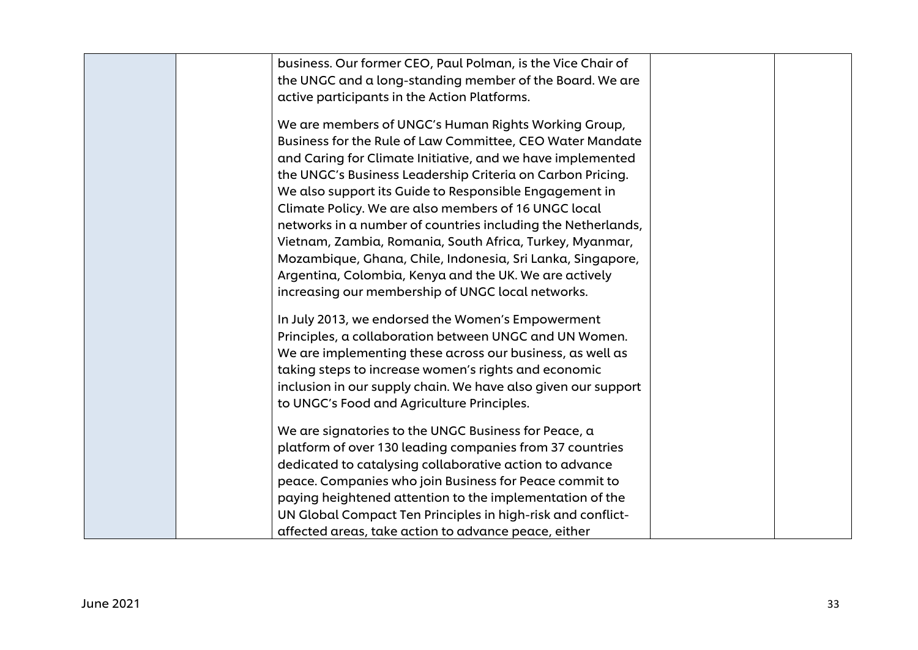| business. Our former CEO, Paul Polman, is the Vice Chair of   |  |
|---------------------------------------------------------------|--|
| the UNGC and a long-standing member of the Board. We are      |  |
| active participants in the Action Platforms.                  |  |
|                                                               |  |
| We are members of UNGC's Human Rights Working Group,          |  |
| Business for the Rule of Law Committee, CEO Water Mandate     |  |
| and Caring for Climate Initiative, and we have implemented    |  |
| the UNGC's Business Leadership Criteria on Carbon Pricing.    |  |
| We also support its Guide to Responsible Engagement in        |  |
| Climate Policy. We are also members of 16 UNGC local          |  |
| networks in a number of countries including the Netherlands,  |  |
| Vietnam, Zambia, Romania, South Africa, Turkey, Myanmar,      |  |
| Mozambique, Ghana, Chile, Indonesia, Sri Lanka, Singapore,    |  |
| Argentina, Colombia, Kenya and the UK. We are actively        |  |
| increasing our membership of UNGC local networks.             |  |
|                                                               |  |
| In July 2013, we endorsed the Women's Empowerment             |  |
| Principles, a collaboration between UNGC and UN Women.        |  |
| We are implementing these across our business, as well as     |  |
| taking steps to increase women's rights and economic          |  |
| inclusion in our supply chain. We have also given our support |  |
| to UNGC's Food and Agriculture Principles.                    |  |
|                                                               |  |
| We are signatories to the UNGC Business for Peace, a          |  |
| platform of over 130 leading companies from 37 countries      |  |
| dedicated to catalysing collaborative action to advance       |  |
| peace. Companies who join Business for Peace commit to        |  |
| paying heightened attention to the implementation of the      |  |
| UN Global Compact Ten Principles in high-risk and conflict-   |  |
| affected areas, take action to advance peace, either          |  |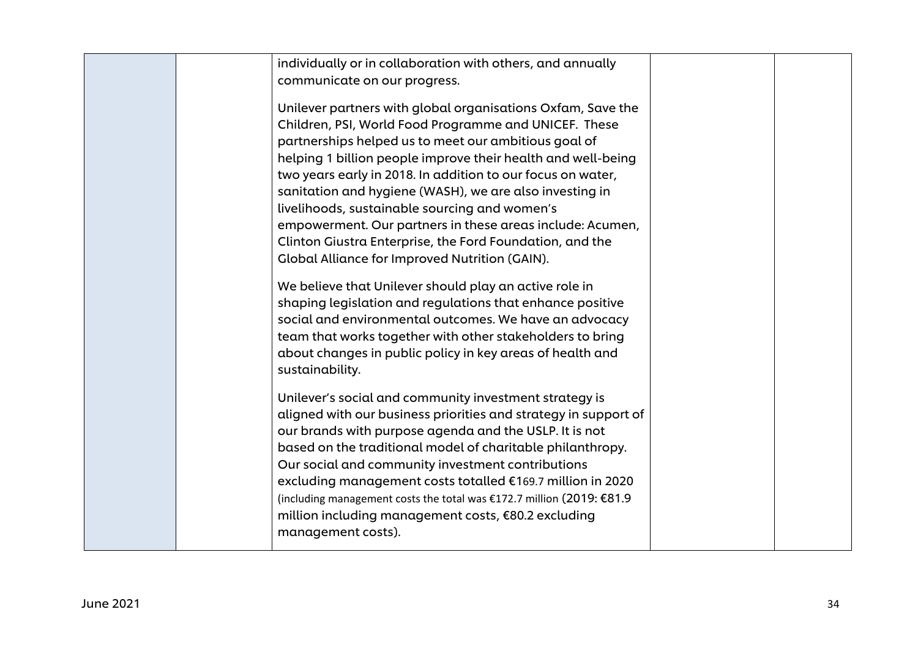| individually or in collaboration with others, and annually<br>communicate on our progress.                                                                                                                                                                                                                                                                                                                                                                                                                                                                                                         |  |
|----------------------------------------------------------------------------------------------------------------------------------------------------------------------------------------------------------------------------------------------------------------------------------------------------------------------------------------------------------------------------------------------------------------------------------------------------------------------------------------------------------------------------------------------------------------------------------------------------|--|
| Unilever partners with global organisations Oxfam, Save the<br>Children, PSI, World Food Programme and UNICEF. These<br>partnerships helped us to meet our ambitious goal of<br>helping 1 billion people improve their health and well-being<br>two years early in 2018. In addition to our focus on water,<br>sanitation and hygiene (WASH), we are also investing in<br>livelihoods, sustainable sourcing and women's<br>empowerment. Our partners in these areas include: Acumen,<br>Clinton Giustra Enterprise, the Ford Foundation, and the<br>Global Alliance for Improved Nutrition (GAIN). |  |
| We believe that Unilever should play an active role in<br>shaping legislation and regulations that enhance positive<br>social and environmental outcomes. We have an advocacy<br>team that works together with other stakeholders to bring<br>about changes in public policy in key areas of health and<br>sustainability.                                                                                                                                                                                                                                                                         |  |
| Unilever's social and community investment strategy is<br>aligned with our business priorities and strategy in support of<br>our brands with purpose agenda and the USLP. It is not<br>based on the traditional model of charitable philanthropy.<br>Our social and community investment contributions<br>excluding management costs totalled €169.7 million in 2020<br>(including management costs the total was €172.7 million (2019: €81.9<br>million including management costs, €80.2 excluding<br>management costs).                                                                         |  |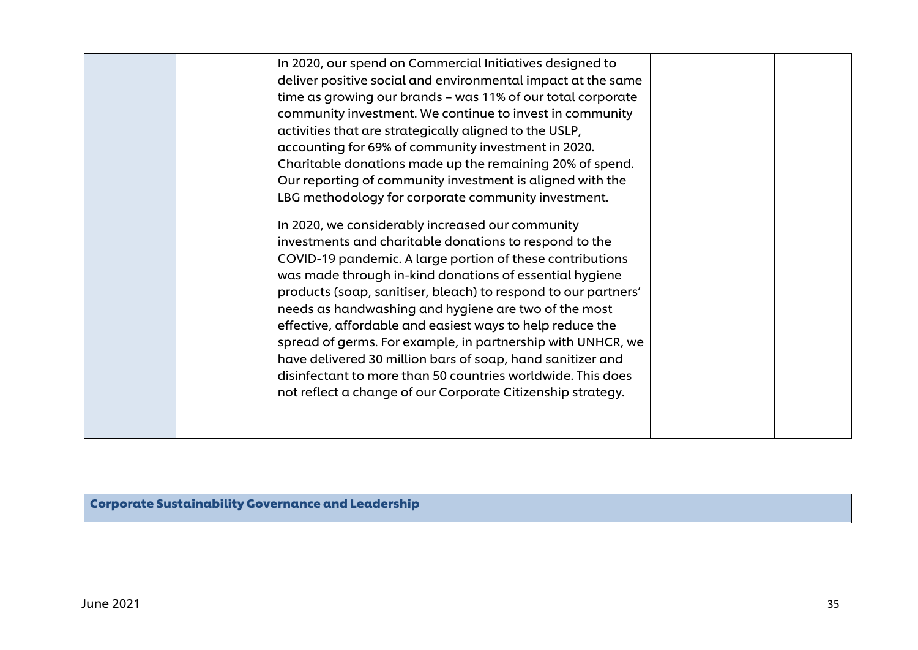| In 2020, our spend on Commercial Initiatives designed to<br>deliver positive social and environmental impact at the same<br>time as growing our brands - was 11% of our total corporate |  |
|-----------------------------------------------------------------------------------------------------------------------------------------------------------------------------------------|--|
| community investment. We continue to invest in community                                                                                                                                |  |
| activities that are strategically aligned to the USLP,                                                                                                                                  |  |
| accounting for 69% of community investment in 2020.                                                                                                                                     |  |
| Charitable donations made up the remaining 20% of spend.                                                                                                                                |  |
| Our reporting of community investment is aligned with the                                                                                                                               |  |
| LBG methodology for corporate community investment.                                                                                                                                     |  |
| In 2020, we considerably increased our community                                                                                                                                        |  |
| investments and charitable donations to respond to the                                                                                                                                  |  |
| COVID-19 pandemic. A large portion of these contributions                                                                                                                               |  |
| was made through in-kind donations of essential hygiene                                                                                                                                 |  |
| products (soap, sanitiser, bleach) to respond to our partners'                                                                                                                          |  |
| needs as handwashing and hygiene are two of the most                                                                                                                                    |  |
| effective, affordable and easiest ways to help reduce the<br>spread of germs. For example, in partnership with UNHCR, we                                                                |  |
| have delivered 30 million bars of soap, hand sanitizer and                                                                                                                              |  |
| disinfectant to more than 50 countries worldwide. This does                                                                                                                             |  |
| not reflect a change of our Corporate Citizenship strategy.                                                                                                                             |  |
|                                                                                                                                                                                         |  |
|                                                                                                                                                                                         |  |
|                                                                                                                                                                                         |  |

Corporate Sustainability Governance and Leadership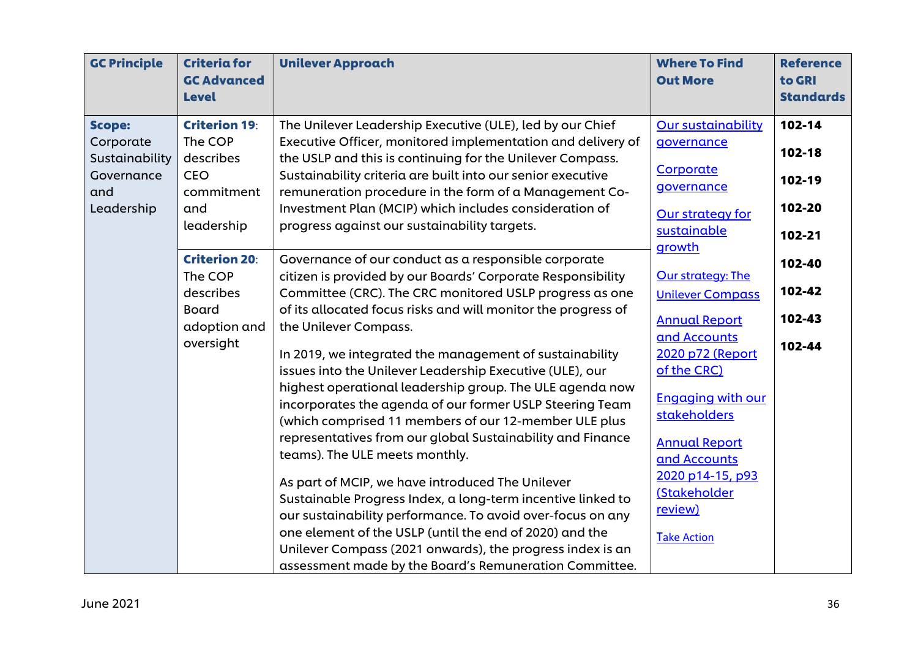| <b>GC Principle</b> | <b>Criteria for</b><br><b>GC Advanced</b><br><b>Level</b> | <b>Unilever Approach</b>                                      | <b>Where To Find</b><br><b>Out More</b> | <b>Reference</b><br>to GRI<br><b>Standards</b> |
|---------------------|-----------------------------------------------------------|---------------------------------------------------------------|-----------------------------------------|------------------------------------------------|
| <b>Scope:</b>       | <b>Criterion 19:</b>                                      | The Unilever Leadership Executive (ULE), led by our Chief     | <b>Our sustainability</b>               | 102-14                                         |
| Corporate           | The COP                                                   | Executive Officer, monitored implementation and delivery of   | governance                              |                                                |
| Sustainability      | describes                                                 | the USLP and this is continuing for the Unilever Compass.     |                                         | $102 - 18$                                     |
| Governance          | <b>CEO</b>                                                | Sustainability criteria are built into our senior executive   | Corporate                               | 102-19                                         |
| and                 | commitment                                                | remuneration procedure in the form of a Management Co-        | governance                              |                                                |
| Leadership          | and                                                       | Investment Plan (MCIP) which includes consideration of        | Our strategy for                        | 102-20                                         |
|                     | leadership                                                | progress against our sustainability targets.                  | sustainable                             | 102-21                                         |
|                     |                                                           |                                                               | growth                                  |                                                |
|                     | <b>Criterion 20:</b>                                      | Governance of our conduct as a responsible corporate          |                                         | 102-40                                         |
|                     | The COP                                                   | citizen is provided by our Boards' Corporate Responsibility   | <b>Our strategy: The</b>                |                                                |
|                     | describes                                                 | Committee (CRC). The CRC monitored USLP progress as one       | <b>Unilever Compass</b>                 | 102-42                                         |
|                     | <b>Board</b>                                              | of its allocated focus risks and will monitor the progress of | <b>Annual Report</b>                    | 102-43                                         |
|                     | adoption and                                              | the Unilever Compass.                                         | and Accounts                            |                                                |
|                     | oversight                                                 | In 2019, we integrated the management of sustainability       | 2020 p72 (Report                        | 102-44                                         |
|                     |                                                           | issues into the Unilever Leadership Executive (ULE), our      | of the CRC)                             |                                                |
|                     |                                                           | highest operational leadership group. The ULE agenda now      |                                         |                                                |
|                     |                                                           | incorporates the agenda of our former USLP Steering Team      | <b>Engaging with our</b>                |                                                |
|                     |                                                           | (which comprised 11 members of our 12-member ULE plus         | stakeholders                            |                                                |
|                     |                                                           | representatives from our global Sustainability and Finance    | <b>Annual Report</b>                    |                                                |
|                     |                                                           | teams). The ULE meets monthly.                                | and Accounts                            |                                                |
|                     |                                                           |                                                               | 2020 p14-15, p93                        |                                                |
|                     |                                                           | As part of MCIP, we have introduced The Unilever              | <b>(Stakeholder</b>                     |                                                |
|                     |                                                           | Sustainable Progress Index, a long-term incentive linked to   | review)                                 |                                                |
|                     |                                                           | our sustainability performance. To avoid over-focus on any    |                                         |                                                |
|                     |                                                           | one element of the USLP (until the end of 2020) and the       | <b>Take Action</b>                      |                                                |
|                     |                                                           | Unilever Compass (2021 onwards), the progress index is an     |                                         |                                                |
|                     |                                                           | assessment made by the Board's Remuneration Committee.        |                                         |                                                |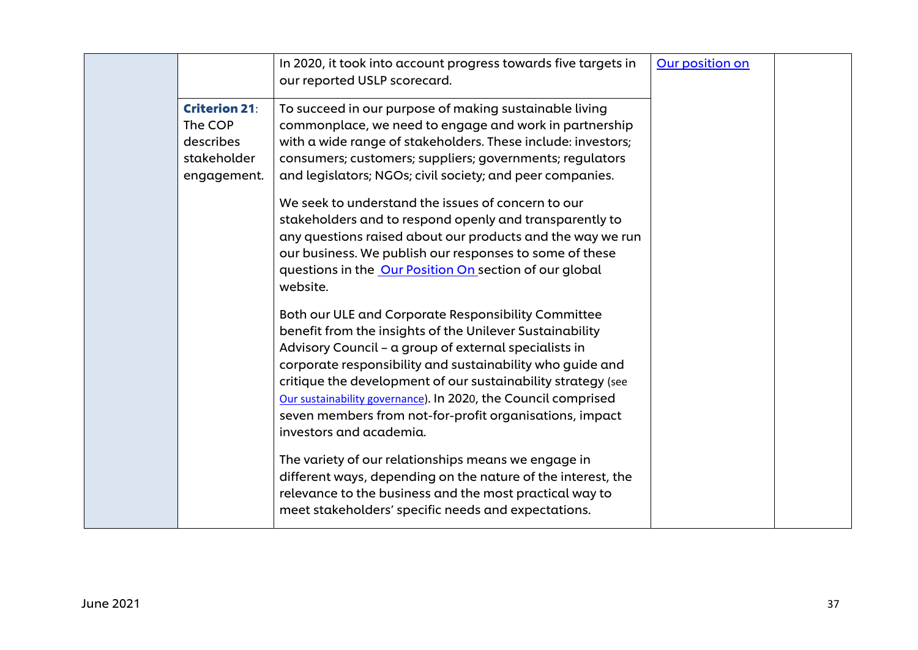|                                                                            | In 2020, it took into account progress towards five targets in<br>our reported USLP scorecard.                                                                                                                                                                                                                                                                                                                                                                                                                                                                                                                                                                                                                                                                                                                                                                                                                                                                                                                                                                                                                                                                                                                                                                                                                                      | Our position on |  |
|----------------------------------------------------------------------------|-------------------------------------------------------------------------------------------------------------------------------------------------------------------------------------------------------------------------------------------------------------------------------------------------------------------------------------------------------------------------------------------------------------------------------------------------------------------------------------------------------------------------------------------------------------------------------------------------------------------------------------------------------------------------------------------------------------------------------------------------------------------------------------------------------------------------------------------------------------------------------------------------------------------------------------------------------------------------------------------------------------------------------------------------------------------------------------------------------------------------------------------------------------------------------------------------------------------------------------------------------------------------------------------------------------------------------------|-----------------|--|
| <b>Criterion 21:</b><br>The COP<br>describes<br>stakeholder<br>engagement. | To succeed in our purpose of making sustainable living<br>commonplace, we need to engage and work in partnership<br>with a wide range of stakeholders. These include: investors;<br>consumers; customers; suppliers; governments; regulators<br>and legislators; NGOs; civil society; and peer companies.<br>We seek to understand the issues of concern to our<br>stakeholders and to respond openly and transparently to<br>any questions raised about our products and the way we run<br>our business. We publish our responses to some of these<br>questions in the Our Position On section of our global<br>website.<br>Both our ULE and Corporate Responsibility Committee<br>benefit from the insights of the Unilever Sustainability<br>Advisory Council - a group of external specialists in<br>corporate responsibility and sustainability who guide and<br>critique the development of our sustainability strategy (see<br>Our sustainability governance). In 2020, the Council comprised<br>seven members from not-for-profit organisations, impact<br>investors and academia.<br>The variety of our relationships means we engage in<br>different ways, depending on the nature of the interest, the<br>relevance to the business and the most practical way to<br>meet stakeholders' specific needs and expectations. |                 |  |
|                                                                            |                                                                                                                                                                                                                                                                                                                                                                                                                                                                                                                                                                                                                                                                                                                                                                                                                                                                                                                                                                                                                                                                                                                                                                                                                                                                                                                                     |                 |  |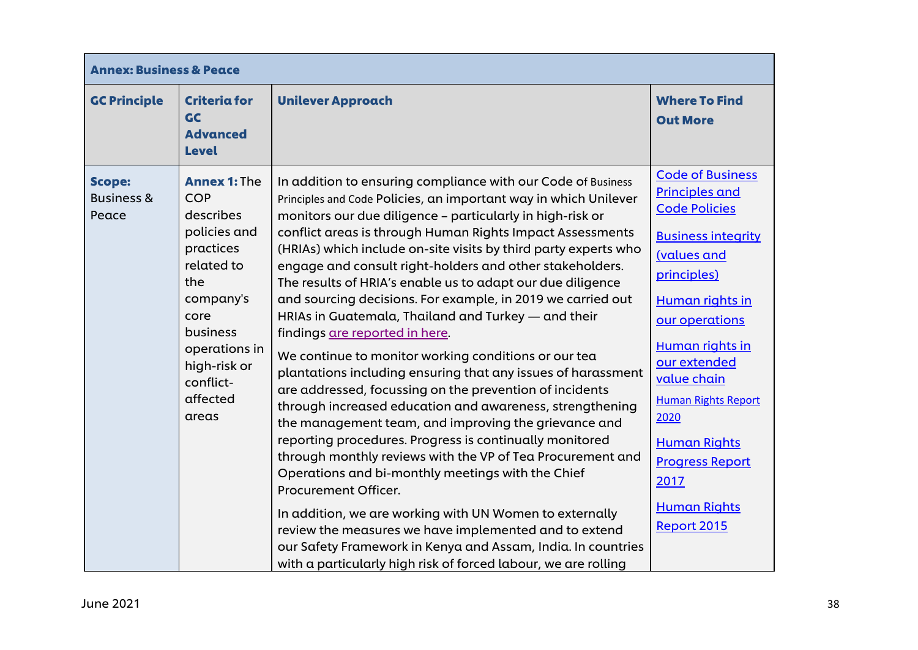| <b>Annex: Business &amp; Peace</b>              |                                                                                                                                                                                                      |                                                                                                                                                                                                                                                                                                                                                                                                                                                                                                                                                                                                                                                                                                                                                                                                                                                                                                                                                                                                                                                                                                                                                                                                                                                                                                                                                                                    |                                                                                                                                                                                                                                                                                                                                                                        |
|-------------------------------------------------|------------------------------------------------------------------------------------------------------------------------------------------------------------------------------------------------------|------------------------------------------------------------------------------------------------------------------------------------------------------------------------------------------------------------------------------------------------------------------------------------------------------------------------------------------------------------------------------------------------------------------------------------------------------------------------------------------------------------------------------------------------------------------------------------------------------------------------------------------------------------------------------------------------------------------------------------------------------------------------------------------------------------------------------------------------------------------------------------------------------------------------------------------------------------------------------------------------------------------------------------------------------------------------------------------------------------------------------------------------------------------------------------------------------------------------------------------------------------------------------------------------------------------------------------------------------------------------------------|------------------------------------------------------------------------------------------------------------------------------------------------------------------------------------------------------------------------------------------------------------------------------------------------------------------------------------------------------------------------|
| <b>GC Principle</b>                             | <b>Criteria for</b><br>GC<br><b>Advanced</b><br><b>Level</b>                                                                                                                                         | <b>Unilever Approach</b>                                                                                                                                                                                                                                                                                                                                                                                                                                                                                                                                                                                                                                                                                                                                                                                                                                                                                                                                                                                                                                                                                                                                                                                                                                                                                                                                                           | <b>Where To Find</b><br><b>Out More</b>                                                                                                                                                                                                                                                                                                                                |
| <b>Scope:</b><br><b>Business &amp;</b><br>Peace | <b>Annex 1: The</b><br><b>COP</b><br>describes<br>policies and<br>practices<br>related to<br>the<br>company's<br>core<br>business<br>operations in<br>high-risk or<br>conflict-<br>affected<br>areas | In addition to ensuring compliance with our Code of Business<br>Principles and Code Policies, an important way in which Unilever<br>monitors our due diligence - particularly in high-risk or<br>conflict areas is through Human Rights Impact Assessments<br>(HRIAs) which include on-site visits by third party experts who<br>engage and consult right-holders and other stakeholders.<br>The results of HRIA's enable us to adapt our due diligence<br>and sourcing decisions. For example, in 2019 we carried out<br>HRIAs in Guatemala, Thailand and Turkey - and their<br>findings are reported in here.<br>We continue to monitor working conditions or our tea<br>plantations including ensuring that any issues of harassment<br>are addressed, focussing on the prevention of incidents<br>through increased education and awareness, strengthening<br>the management team, and improving the grievance and<br>reporting procedures. Progress is continually monitored<br>through monthly reviews with the VP of Tea Procurement and<br>Operations and bi-monthly meetings with the Chief<br>Procurement Officer.<br>In addition, we are working with UN Women to externally<br>review the measures we have implemented and to extend<br>our Safety Framework in Kenya and Assam, India. In countries<br>with a particularly high risk of forced labour, we are rolling | <b>Code of Business</b><br><b>Principles and</b><br><b>Code Policies</b><br><b>Business integrity</b><br><b>(values and</b><br>principles)<br>Human rights in<br>our operations<br>Human rights in<br>our extended<br>value chain<br><b>Human Rights Report</b><br>2020<br><b>Human Rights</b><br><b>Progress Report</b><br>2017<br><b>Human Rights</b><br>Report 2015 |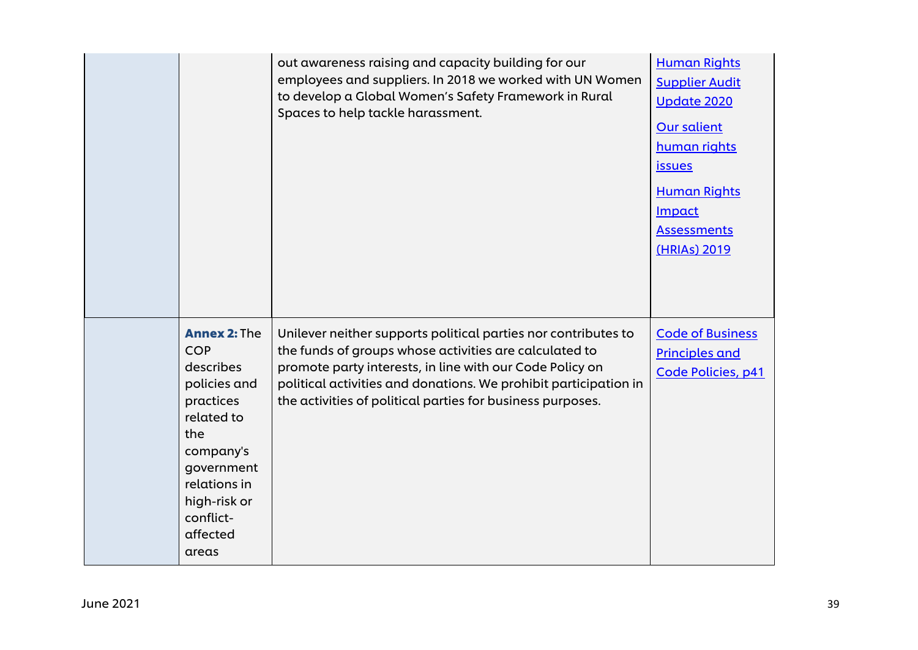|                                                                                                                                                                                               | out awareness raising and capacity building for our<br>employees and suppliers. In 2018 we worked with UN Women<br>to develop a Global Women's Safety Framework in Rural<br>Spaces to help tackle harassment.                                                                                                          | <b>Human Rights</b><br><b>Supplier Audit</b><br><b>Update 2020</b><br><b>Our salient</b><br>human rights<br><i>issues</i><br><b>Human Rights</b><br><b>Impact</b><br><b>Assessments</b><br>(HRIAs) 2019 |
|-----------------------------------------------------------------------------------------------------------------------------------------------------------------------------------------------|------------------------------------------------------------------------------------------------------------------------------------------------------------------------------------------------------------------------------------------------------------------------------------------------------------------------|---------------------------------------------------------------------------------------------------------------------------------------------------------------------------------------------------------|
| <b>Annex 2: The</b><br><b>COP</b><br>describes<br>policies and<br>practices<br>related to<br>the<br>company's<br>government<br>relations in<br>high-risk or<br>conflict-<br>affected<br>areas | Unilever neither supports political parties nor contributes to<br>the funds of groups whose activities are calculated to<br>promote party interests, in line with our Code Policy on<br>political activities and donations. We prohibit participation in<br>the activities of political parties for business purposes. | <b>Code of Business</b><br><b>Principles and</b><br>Code Policies, p41                                                                                                                                  |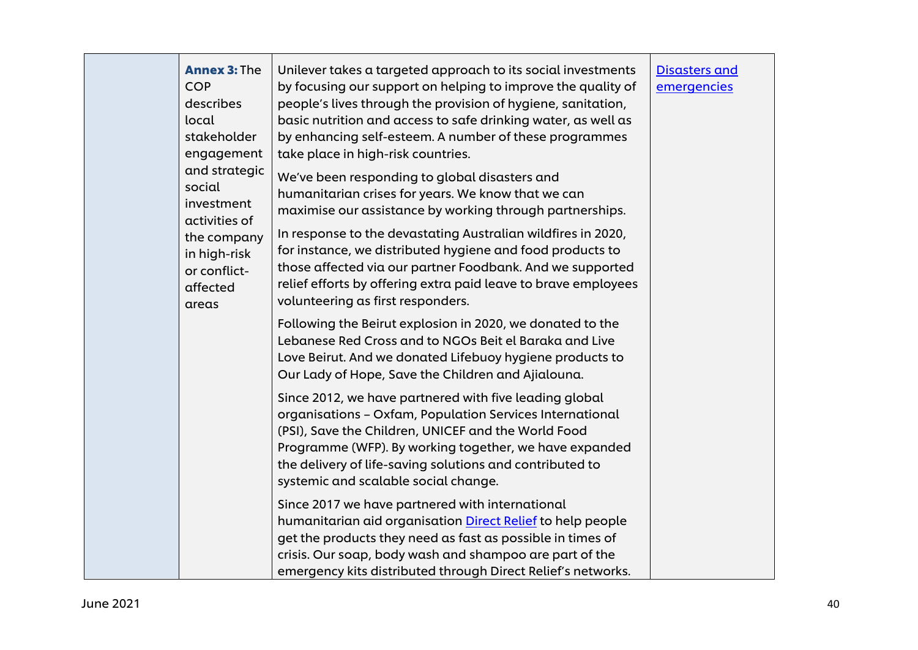| <b>Annex 3: The</b><br><b>COP</b><br>describes<br>local<br>stakeholder<br>engagement<br>and strategic<br>social<br>investment<br>activities of<br>the company<br>in high-risk<br>or conflict-<br>affected<br>areas | Unilever takes a targeted approach to its social investments<br>by focusing our support on helping to improve the quality of<br>people's lives through the provision of hygiene, sanitation,<br>basic nutrition and access to safe drinking water, as well as<br>by enhancing self-esteem. A number of these programmes<br>take place in high-risk countries.<br>We've been responding to global disasters and<br>humanitarian crises for years. We know that we can<br>maximise our assistance by working through partnerships.<br>In response to the devastating Australian wildfires in 2020,<br>for instance, we distributed hygiene and food products to<br>those affected via our partner Foodbank. And we supported<br>relief efforts by offering extra paid leave to brave employees<br>volunteering as first responders. | <b>Disasters and</b><br>emergencies |
|--------------------------------------------------------------------------------------------------------------------------------------------------------------------------------------------------------------------|-----------------------------------------------------------------------------------------------------------------------------------------------------------------------------------------------------------------------------------------------------------------------------------------------------------------------------------------------------------------------------------------------------------------------------------------------------------------------------------------------------------------------------------------------------------------------------------------------------------------------------------------------------------------------------------------------------------------------------------------------------------------------------------------------------------------------------------|-------------------------------------|
|                                                                                                                                                                                                                    | Following the Beirut explosion in 2020, we donated to the<br>Lebanese Red Cross and to NGOs Beit el Baraka and Live<br>Love Beirut. And we donated Lifebuoy hygiene products to<br>Our Lady of Hope, Save the Children and Ajialouna.                                                                                                                                                                                                                                                                                                                                                                                                                                                                                                                                                                                             |                                     |
|                                                                                                                                                                                                                    | Since 2012, we have partnered with five leading global<br>organisations - Oxfam, Population Services International<br>(PSI), Save the Children, UNICEF and the World Food<br>Programme (WFP). By working together, we have expanded<br>the delivery of life-saving solutions and contributed to<br>systemic and scalable social change.                                                                                                                                                                                                                                                                                                                                                                                                                                                                                           |                                     |
|                                                                                                                                                                                                                    | Since 2017 we have partnered with international<br>humanitarian aid organisation Direct Relief to help people<br>get the products they need as fast as possible in times of<br>crisis. Our soap, body wash and shampoo are part of the<br>emergency kits distributed through Direct Relief's networks.                                                                                                                                                                                                                                                                                                                                                                                                                                                                                                                            |                                     |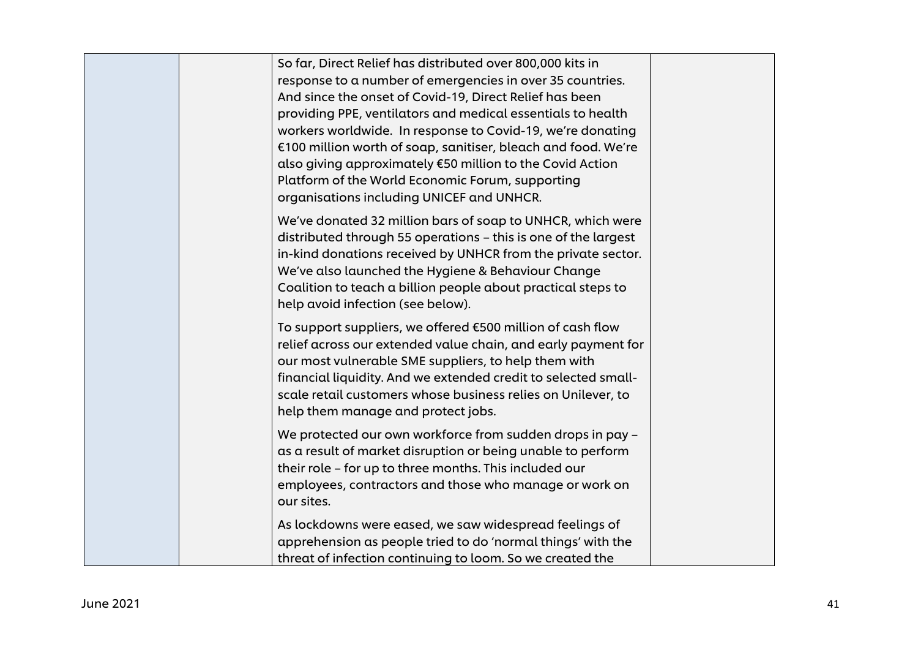| So far, Direct Relief has distributed over 800,000 kits in<br>response to a number of emergencies in over 35 countries.<br>And since the onset of Covid-19, Direct Relief has been<br>providing PPE, ventilators and medical essentials to health<br>workers worldwide. In response to Covid-19, we're donating<br>€100 million worth of soap, sanitiser, bleach and food. We're<br>also giving approximately €50 million to the Covid Action<br>Platform of the World Economic Forum, supporting<br>organisations including UNICEF and UNHCR. |  |
|------------------------------------------------------------------------------------------------------------------------------------------------------------------------------------------------------------------------------------------------------------------------------------------------------------------------------------------------------------------------------------------------------------------------------------------------------------------------------------------------------------------------------------------------|--|
| We've donated 32 million bars of soap to UNHCR, which were<br>distributed through 55 operations - this is one of the largest<br>in-kind donations received by UNHCR from the private sector.<br>We've also launched the Hygiene & Behaviour Change<br>Coalition to teach a billion people about practical steps to<br>help avoid infection (see below).                                                                                                                                                                                        |  |
| To support suppliers, we offered €500 million of cash flow<br>relief across our extended value chain, and early payment for<br>our most vulnerable SME suppliers, to help them with<br>financial liquidity. And we extended credit to selected small-<br>scale retail customers whose business relies on Unilever, to<br>help them manage and protect jobs.                                                                                                                                                                                    |  |
| We protected our own workforce from sudden drops in pay -<br>as a result of market disruption or being unable to perform<br>their role - for up to three months. This included our<br>employees, contractors and those who manage or work on<br>our sites.                                                                                                                                                                                                                                                                                     |  |
| As lockdowns were eased, we saw widespread feelings of<br>apprehension as people tried to do 'normal things' with the<br>threat of infection continuing to loom. So we created the                                                                                                                                                                                                                                                                                                                                                             |  |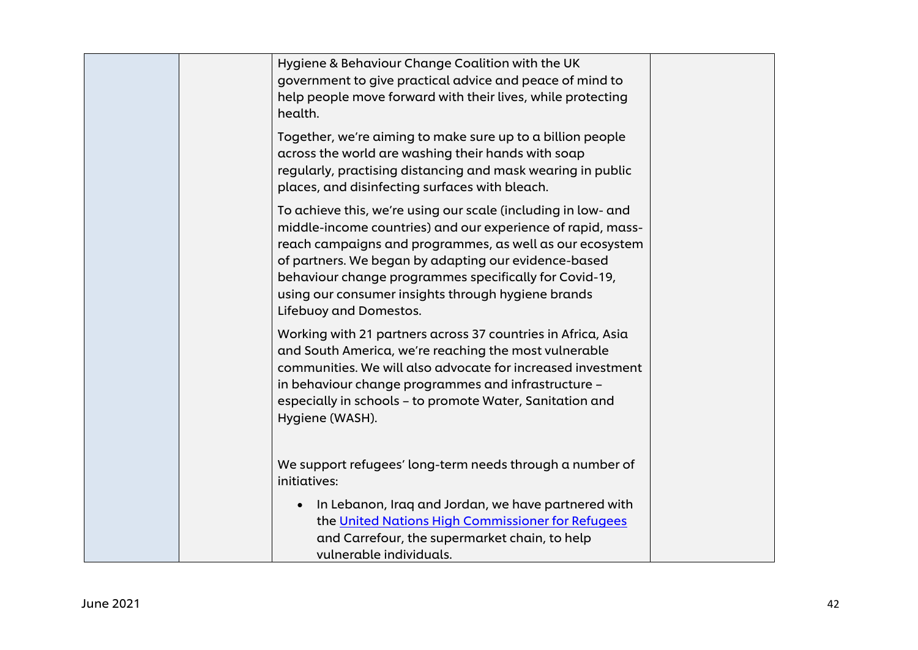|  | Hygiene & Behaviour Change Coalition with the UK<br>government to give practical advice and peace of mind to<br>help people move forward with their lives, while protecting<br>health.                                                                                                                                                                                                     |  |
|--|--------------------------------------------------------------------------------------------------------------------------------------------------------------------------------------------------------------------------------------------------------------------------------------------------------------------------------------------------------------------------------------------|--|
|  | Together, we're aiming to make sure up to a billion people<br>across the world are washing their hands with soap<br>regularly, practising distancing and mask wearing in public<br>places, and disinfecting surfaces with bleach.                                                                                                                                                          |  |
|  | To achieve this, we're using our scale (including in low- and<br>middle-income countries) and our experience of rapid, mass-<br>reach campaigns and programmes, as well as our ecosystem<br>of partners. We began by adapting our evidence-based<br>behaviour change programmes specifically for Covid-19,<br>using our consumer insights through hygiene brands<br>Lifebuoy and Domestos. |  |
|  | Working with 21 partners across 37 countries in Africa, Asia<br>and South America, we're reaching the most vulnerable<br>communities. We will also advocate for increased investment<br>in behaviour change programmes and infrastructure -<br>especially in schools - to promote Water, Sanitation and<br>Hygiene (WASH).                                                                 |  |
|  | We support refugees' long-term needs through a number of<br>initiatives:                                                                                                                                                                                                                                                                                                                   |  |
|  | In Lebanon, Iraq and Jordan, we have partnered with<br>$\bullet$<br>the United Nations High Commissioner for Refugees<br>and Carrefour, the supermarket chain, to help<br>vulnerable individuals.                                                                                                                                                                                          |  |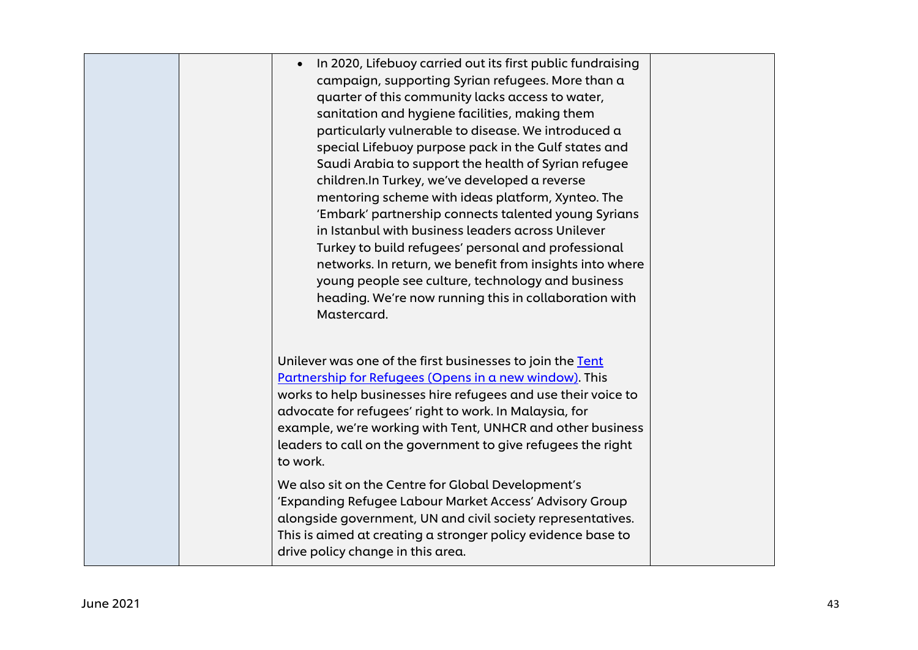| In 2020, Lifebuoy carried out its first public fundraising<br>$\bullet$<br>campaign, supporting Syrian refugees. More than a<br>quarter of this community lacks access to water,<br>sanitation and hygiene facilities, making them<br>particularly vulnerable to disease. We introduced a<br>special Lifebuoy purpose pack in the Gulf states and<br>Saudi Arabia to support the health of Syrian refugee<br>children. In Turkey, we've developed a reverse<br>mentoring scheme with ideas platform, Xynteo. The<br>'Embark' partnership connects talented young Syrians<br>in Istanbul with business leaders across Unilever<br>Turkey to build refugees' personal and professional<br>networks. In return, we benefit from insights into where<br>young people see culture, technology and business<br>heading. We're now running this in collaboration with<br>Mastercard. |
|-------------------------------------------------------------------------------------------------------------------------------------------------------------------------------------------------------------------------------------------------------------------------------------------------------------------------------------------------------------------------------------------------------------------------------------------------------------------------------------------------------------------------------------------------------------------------------------------------------------------------------------------------------------------------------------------------------------------------------------------------------------------------------------------------------------------------------------------------------------------------------|
| Unilever was one of the first businesses to join the Tent<br>Partnership for Refugees (Opens in a new window). This<br>works to help businesses hire refugees and use their voice to<br>advocate for refugees' right to work. In Malaysia, for<br>example, we're working with Tent, UNHCR and other business<br>leaders to call on the government to give refugees the right<br>to work.<br>We also sit on the Centre for Global Development's                                                                                                                                                                                                                                                                                                                                                                                                                                |
| 'Expanding Refugee Labour Market Access' Advisory Group<br>alongside government, UN and civil society representatives.<br>This is aimed at creating a stronger policy evidence base to<br>drive policy change in this area.                                                                                                                                                                                                                                                                                                                                                                                                                                                                                                                                                                                                                                                   |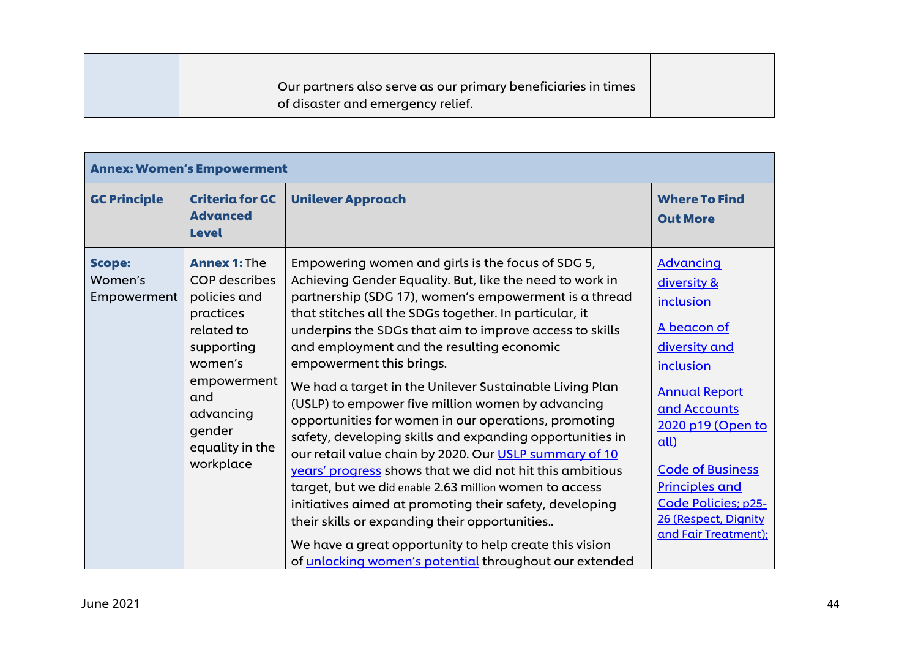| Our partners also serve as our primary beneficiaries in times<br>of disaster and emergency relief. |  |
|----------------------------------------------------------------------------------------------------|--|

| <b>Annex: Women's Empowerment</b>       |                                                                                                                                                                                              |                                                                                                                                                                                                                                                                                                                                                                                                                                                                                                                                                                                                                                                                                                                                                                                                                                                                                                                                                                                                                          |                                                                                                                                                                                                                                                                                           |
|-----------------------------------------|----------------------------------------------------------------------------------------------------------------------------------------------------------------------------------------------|--------------------------------------------------------------------------------------------------------------------------------------------------------------------------------------------------------------------------------------------------------------------------------------------------------------------------------------------------------------------------------------------------------------------------------------------------------------------------------------------------------------------------------------------------------------------------------------------------------------------------------------------------------------------------------------------------------------------------------------------------------------------------------------------------------------------------------------------------------------------------------------------------------------------------------------------------------------------------------------------------------------------------|-------------------------------------------------------------------------------------------------------------------------------------------------------------------------------------------------------------------------------------------------------------------------------------------|
| <b>GC Principle</b>                     | <b>Criteria for GC</b><br><b>Advanced</b><br><b>Level</b>                                                                                                                                    | <b>Unilever Approach</b>                                                                                                                                                                                                                                                                                                                                                                                                                                                                                                                                                                                                                                                                                                                                                                                                                                                                                                                                                                                                 | <b>Where To Find</b><br><b>Out More</b>                                                                                                                                                                                                                                                   |
| <b>Scope:</b><br>Women's<br>Empowerment | <b>Annex 1: The</b><br><b>COP</b> describes<br>policies and<br>practices<br>related to<br>supporting<br>women's<br>empowerment<br>and<br>advancing<br>gender<br>equality in the<br>workplace | Empowering women and girls is the focus of SDG 5,<br>Achieving Gender Equality. But, like the need to work in<br>partnership (SDG 17), women's empowerment is a thread<br>that stitches all the SDGs together. In particular, it<br>underpins the SDGs that aim to improve access to skills<br>and employment and the resulting economic<br>empowerment this brings.<br>We had a target in the Unilever Sustainable Living Plan<br>(USLP) to empower five million women by advancing<br>opportunities for women in our operations, promoting<br>safety, developing skills and expanding opportunities in<br>our retail value chain by 2020. Our USLP summary of 10<br>years' progress shows that we did not hit this ambitious<br>target, but we did enable 2.63 million women to access<br>initiatives aimed at promoting their safety, developing<br>their skills or expanding their opportunities<br>We have a great opportunity to help create this vision<br>of unlocking women's potential throughout our extended | <b>Advancing</b><br>diversity &<br>inclusion<br>A beacon of<br>diversity and<br>inclusion<br><b>Annual Report</b><br>and Accounts<br>2020 p19 (Open to<br>all)<br><b>Code of Business</b><br><b>Principles and</b><br>Code Policies; p25-<br>26 (Respect, Dignity<br>and Fair Treatment); |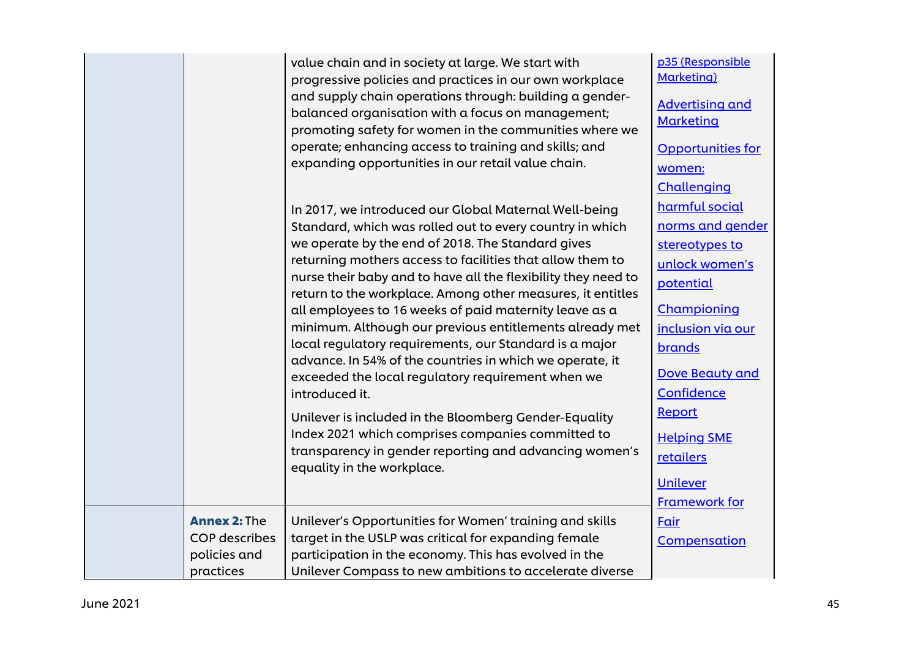|                                                                          | value chain and in society at large. We start with<br>progressive policies and practices in our own workplace<br>and supply chain operations through: building a gender-<br>balanced organisation with a focus on management;<br>promoting safety for women in the communities where we<br>operate; enhancing access to training and skills; and<br>expanding opportunities in our retail value chain.                                                                                                                                                                                                                                                                                                                                                                                                                                                                                     | p35 (Responsible<br>Marketing)<br><b>Advertising and</b><br><b>Marketing</b><br><b>Opportunities for</b><br>women:<br>Challenging                                                                                                                                 |
|--------------------------------------------------------------------------|--------------------------------------------------------------------------------------------------------------------------------------------------------------------------------------------------------------------------------------------------------------------------------------------------------------------------------------------------------------------------------------------------------------------------------------------------------------------------------------------------------------------------------------------------------------------------------------------------------------------------------------------------------------------------------------------------------------------------------------------------------------------------------------------------------------------------------------------------------------------------------------------|-------------------------------------------------------------------------------------------------------------------------------------------------------------------------------------------------------------------------------------------------------------------|
|                                                                          | In 2017, we introduced our Global Maternal Well-being<br>Standard, which was rolled out to every country in which<br>we operate by the end of 2018. The Standard gives<br>returning mothers access to facilities that allow them to<br>nurse their baby and to have all the flexibility they need to<br>return to the workplace. Among other measures, it entitles<br>all employees to 16 weeks of paid maternity leave as a<br>minimum. Although our previous entitlements already met<br>local regulatory requirements, our Standard is a major<br>advance. In 54% of the countries in which we operate, it<br>exceeded the local regulatory requirement when we<br>introduced it.<br>Unilever is included in the Bloomberg Gender-Equality<br>Index 2021 which comprises companies committed to<br>transparency in gender reporting and advancing women's<br>equality in the workplace. | harmful social<br>norms and gender<br>stereotypes to<br>unlock women's<br>potential<br>Championing<br>inclusion via our<br>brands<br>Dove Beauty and<br>Confidence<br><b>Report</b><br><b>Helping SME</b><br>retailers<br><b>Unilever</b><br><b>Framework for</b> |
| <b>Annex 2: The</b><br><b>COP</b> describes<br>policies and<br>practices | Unilever's Opportunities for Women' training and skills<br>target in the USLP was critical for expanding female<br>participation in the economy. This has evolved in the<br>Unilever Compass to new ambitions to accelerate diverse                                                                                                                                                                                                                                                                                                                                                                                                                                                                                                                                                                                                                                                        | Fair<br>Compensation                                                                                                                                                                                                                                              |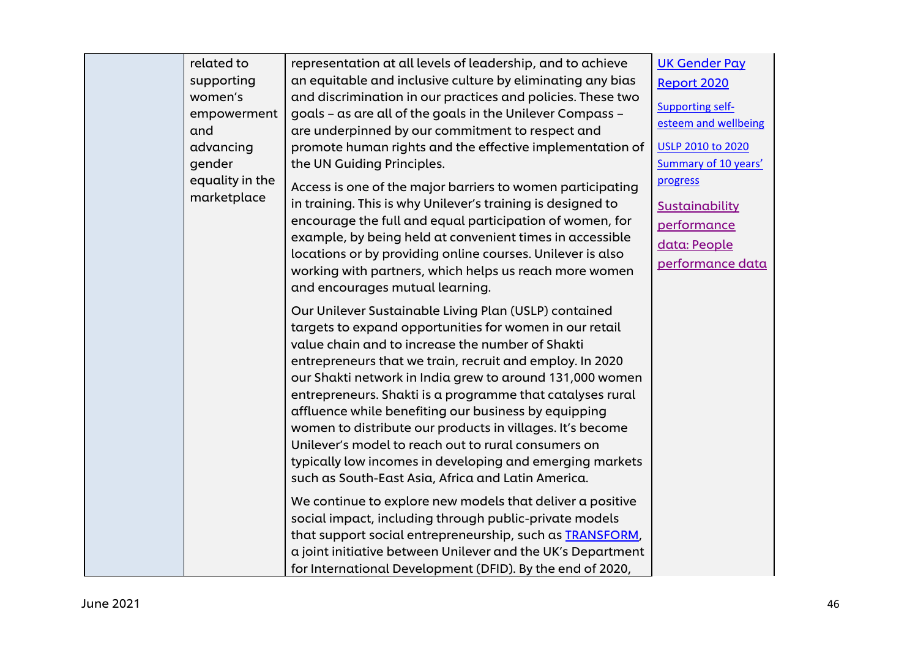|  | related to<br>supporting<br>women's<br>empowerment<br>and<br>advancing<br>gender<br>equality in the | representation at all levels of leadership, and to achieve<br>an equitable and inclusive culture by eliminating any bias<br>and discrimination in our practices and policies. These two<br>goals - as are all of the goals in the Unilever Compass -<br>are underpinned by our commitment to respect and<br>promote human rights and the effective implementation of<br>the UN Guiding Principles.<br>Access is one of the major barriers to women participating                                                                                                                                                                                        | <b>UK Gender Pay</b><br>Report 2020<br><b>Supporting self-</b><br>esteem and wellbeing<br><b>USLP 2010 to 2020</b><br>Summary of 10 years'<br>progress |
|--|-----------------------------------------------------------------------------------------------------|---------------------------------------------------------------------------------------------------------------------------------------------------------------------------------------------------------------------------------------------------------------------------------------------------------------------------------------------------------------------------------------------------------------------------------------------------------------------------------------------------------------------------------------------------------------------------------------------------------------------------------------------------------|--------------------------------------------------------------------------------------------------------------------------------------------------------|
|  | marketplace                                                                                         | in training. This is why Unilever's training is designed to<br>encourage the full and equal participation of women, for<br>example, by being held at convenient times in accessible<br>locations or by providing online courses. Unilever is also<br>working with partners, which helps us reach more women<br>and encourages mutual learning.                                                                                                                                                                                                                                                                                                          | Sustainability<br>performance<br>data: People<br>performance data                                                                                      |
|  |                                                                                                     | Our Unilever Sustainable Living Plan (USLP) contained<br>targets to expand opportunities for women in our retail<br>value chain and to increase the number of Shakti<br>entrepreneurs that we train, recruit and employ. In 2020<br>our Shakti network in India grew to around 131,000 women<br>entrepreneurs. Shakti is a programme that catalyses rural<br>affluence while benefiting our business by equipping<br>women to distribute our products in villages. It's become<br>Unilever's model to reach out to rural consumers on<br>typically low incomes in developing and emerging markets<br>such as South-East Asia, Africa and Latin America. |                                                                                                                                                        |
|  |                                                                                                     | We continue to explore new models that deliver a positive<br>social impact, including through public-private models<br>that support social entrepreneurship, such as <b>TRANSFORM</b> ,<br>a joint initiative between Unilever and the UK's Department<br>for International Development (DFID). By the end of 2020,                                                                                                                                                                                                                                                                                                                                     |                                                                                                                                                        |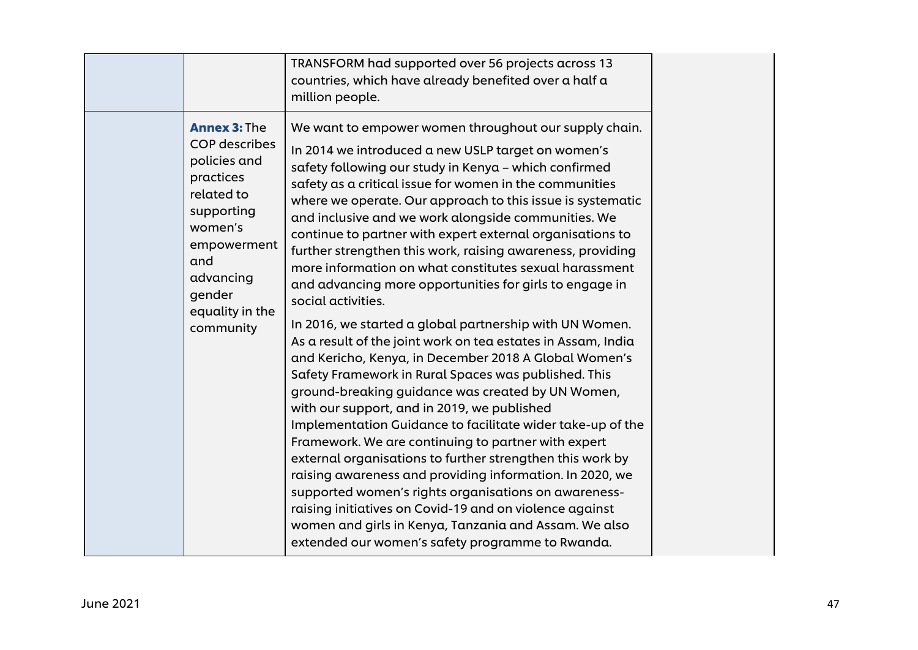|                                                                                                                                                                                 | TRANSFORM had supported over 56 projects across 13<br>countries, which have already benefited over a half a<br>million people.                                                                                                                                                                                                                                                                                                                                                                                                                                                                                                                                                                                                                                                                                             |
|---------------------------------------------------------------------------------------------------------------------------------------------------------------------------------|----------------------------------------------------------------------------------------------------------------------------------------------------------------------------------------------------------------------------------------------------------------------------------------------------------------------------------------------------------------------------------------------------------------------------------------------------------------------------------------------------------------------------------------------------------------------------------------------------------------------------------------------------------------------------------------------------------------------------------------------------------------------------------------------------------------------------|
| <b>Annex 3: The</b><br><b>COP</b> describes<br>policies and<br>practices<br>related to<br>supporting<br>women's<br>empowerment<br>and<br>advancing<br>gender<br>equality in the | We want to empower women throughout our supply chain.<br>In 2014 we introduced a new USLP target on women's<br>safety following our study in Kenya - which confirmed<br>safety as a critical issue for women in the communities<br>where we operate. Our approach to this issue is systematic<br>and inclusive and we work alongside communities. We<br>continue to partner with expert external organisations to<br>further strengthen this work, raising awareness, providing<br>more information on what constitutes sexual harassment<br>and advancing more opportunities for girls to engage in<br>social activities.                                                                                                                                                                                                 |
| community                                                                                                                                                                       | In 2016, we started a global partnership with UN Women.<br>As a result of the joint work on tea estates in Assam, India<br>and Kericho, Kenya, in December 2018 A Global Women's<br>Safety Framework in Rural Spaces was published. This<br>ground-breaking guidance was created by UN Women,<br>with our support, and in 2019, we published<br>Implementation Guidance to facilitate wider take-up of the<br>Framework. We are continuing to partner with expert<br>external organisations to further strengthen this work by<br>raising awareness and providing information. In 2020, we<br>supported women's rights organisations on awareness-<br>raising initiatives on Covid-19 and on violence against<br>women and girls in Kenya, Tanzania and Assam. We also<br>extended our women's safety programme to Rwanda. |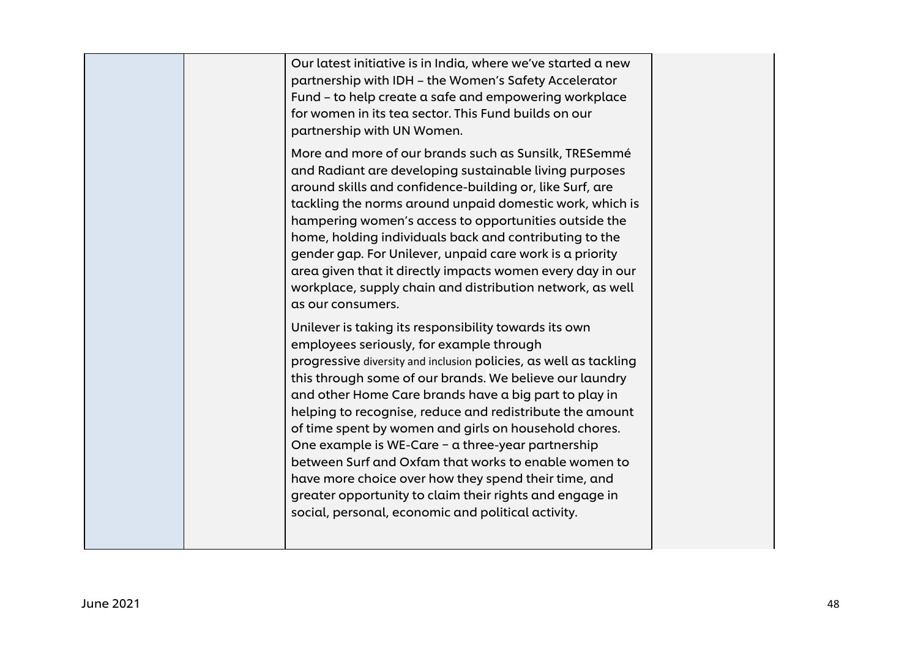|  | Our latest initiative is in India, where we've started a new<br>partnership with IDH - the Women's Safety Accelerator<br>Fund - to help create a safe and empowering workplace<br>for women in its tea sector. This Fund builds on our<br>partnership with UN Women.                                                                                                                                                                                                                                                                                                                                                                                                                                  |  |
|--|-------------------------------------------------------------------------------------------------------------------------------------------------------------------------------------------------------------------------------------------------------------------------------------------------------------------------------------------------------------------------------------------------------------------------------------------------------------------------------------------------------------------------------------------------------------------------------------------------------------------------------------------------------------------------------------------------------|--|
|  | More and more of our brands such as Sunsilk, TRESemmé<br>and Radiant are developing sustainable living purposes<br>around skills and confidence-building or, like Surf, are<br>tackling the norms around unpaid domestic work, which is<br>hampering women's access to opportunities outside the<br>home, holding individuals back and contributing to the<br>gender gap. For Unilever, unpaid care work is a priority<br>area given that it directly impacts women every day in our<br>workplace, supply chain and distribution network, as well<br>as our consumers.                                                                                                                                |  |
|  | Unilever is taking its responsibility towards its own<br>employees seriously, for example through<br>progressive diversity and inclusion policies, as well as tackling<br>this through some of our brands. We believe our laundry<br>and other Home Care brands have a big part to play in<br>helping to recognise, reduce and redistribute the amount<br>of time spent by women and girls on household chores.<br>One example is WE-Care - a three-year partnership<br>between Surf and Oxfam that works to enable women to<br>have more choice over how they spend their time, and<br>greater opportunity to claim their rights and engage in<br>social, personal, economic and political activity. |  |
|  |                                                                                                                                                                                                                                                                                                                                                                                                                                                                                                                                                                                                                                                                                                       |  |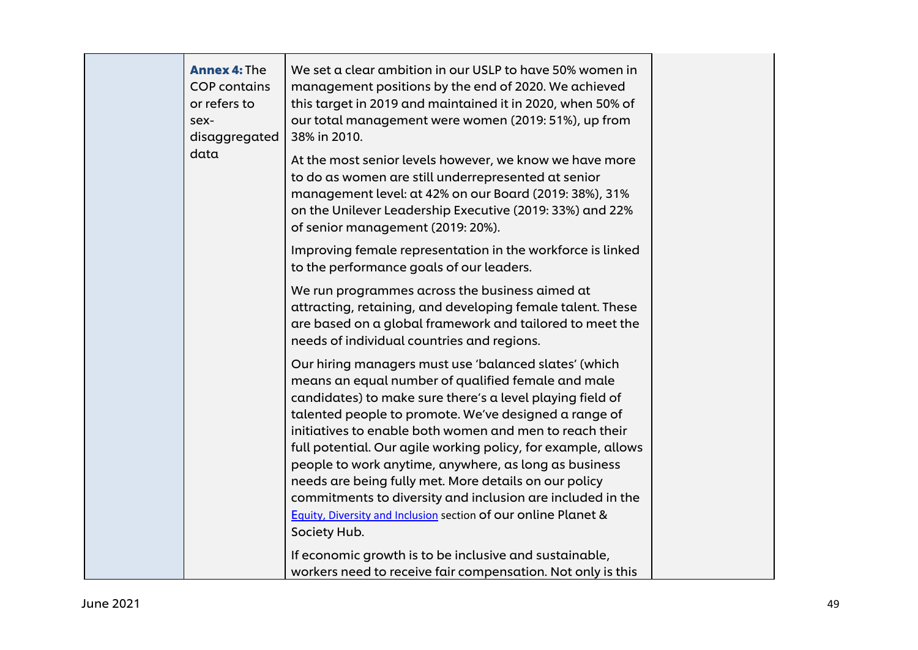|  | <b>Annex 4: The</b><br><b>COP</b> contains<br>or refers to<br>sex-<br>disaggregated<br>data | We set a clear ambition in our USLP to have 50% women in<br>management positions by the end of 2020. We achieved<br>this target in 2019 and maintained it in 2020, when 50% of<br>our total management were women (2019: 51%), up from<br>38% in 2010.<br>At the most senior levels however, we know we have more                                                                                                                                                                                                                                                                                                               |
|--|---------------------------------------------------------------------------------------------|---------------------------------------------------------------------------------------------------------------------------------------------------------------------------------------------------------------------------------------------------------------------------------------------------------------------------------------------------------------------------------------------------------------------------------------------------------------------------------------------------------------------------------------------------------------------------------------------------------------------------------|
|  |                                                                                             | to do as women are still underrepresented at senior<br>management level: at 42% on our Board (2019: 38%), 31%<br>on the Unilever Leadership Executive (2019: 33%) and 22%<br>of senior management (2019: 20%).                                                                                                                                                                                                                                                                                                                                                                                                                  |
|  |                                                                                             | Improving female representation in the workforce is linked<br>to the performance goals of our leaders.                                                                                                                                                                                                                                                                                                                                                                                                                                                                                                                          |
|  |                                                                                             | We run programmes across the business aimed at<br>attracting, retaining, and developing female talent. These<br>are based on a global framework and tailored to meet the<br>needs of individual countries and regions.                                                                                                                                                                                                                                                                                                                                                                                                          |
|  |                                                                                             | Our hiring managers must use 'balanced slates' (which<br>means an equal number of qualified female and male<br>candidates) to make sure there's a level playing field of<br>talented people to promote. We've designed a range of<br>initiatives to enable both women and men to reach their<br>full potential. Our agile working policy, for example, allows<br>people to work anytime, anywhere, as long as business<br>needs are being fully met. More details on our policy<br>commitments to diversity and inclusion are included in the<br>Equity, Diversity and Inclusion section of our online Planet &<br>Society Hub. |
|  |                                                                                             | If economic growth is to be inclusive and sustainable,<br>workers need to receive fair compensation. Not only is this                                                                                                                                                                                                                                                                                                                                                                                                                                                                                                           |